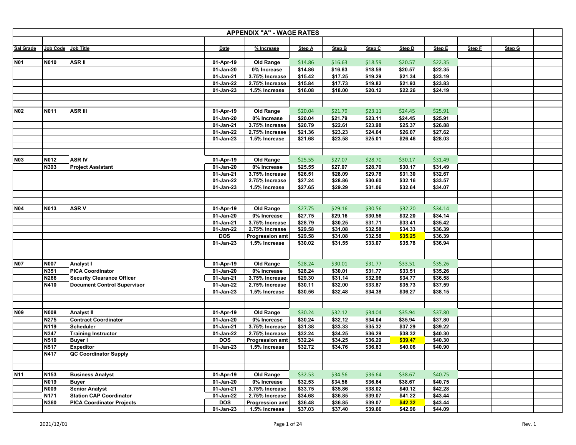| <b>APPENDIX "A" - WAGE RATES</b> |                     |                                       |                        |                        |                    |                    |                    |                    |                    |        |        |  |
|----------------------------------|---------------------|---------------------------------------|------------------------|------------------------|--------------------|--------------------|--------------------|--------------------|--------------------|--------|--------|--|
|                                  |                     |                                       |                        |                        |                    |                    |                    |                    |                    |        |        |  |
| Sal Grade                        | Job Code Job Title  |                                       | Date                   | % Increase             | Step A             | <b>Step B</b>      | Step C             | Step D             | Step E             | Step F | Step G |  |
|                                  |                     |                                       |                        |                        |                    |                    |                    |                    |                    |        |        |  |
| <b>N01</b>                       | N010                | <b>ASRII</b>                          | 01-Apr-19              | <b>Old Range</b>       | \$14.86            | \$16.63            | \$18.59            | \$20.57            | \$22.35            |        |        |  |
|                                  |                     |                                       | 01-Jan-20              | 0% Increase            | \$14.86            | \$16.63            | \$18.59            | \$20.57            | \$22.35            |        |        |  |
|                                  |                     |                                       | 01-Jan-21              | 3.75% Increase         | \$15.42            | \$17.25            | \$19.29            | \$21.34            | \$23.19            |        |        |  |
|                                  |                     |                                       | 01-Jan-22              | 2.75% Increase         | \$15.84            | \$17.73            | \$19.82            | \$21.93            | \$23.83            |        |        |  |
|                                  |                     |                                       | 01-Jan-23              | 1.5% Increase          | \$16.08            | \$18.00            | \$20.12            | \$22.26            | \$24.19            |        |        |  |
|                                  |                     |                                       |                        |                        |                    |                    |                    |                    |                    |        |        |  |
|                                  |                     |                                       |                        |                        |                    |                    |                    |                    |                    |        |        |  |
| <b>N02</b>                       | N011                | <b>ASR III</b>                        | 01-Apr-19              | <b>Old Range</b>       | \$20.04            | \$21.79            | \$23.11            | \$24.45            | \$25.91            |        |        |  |
|                                  |                     |                                       | 01-Jan-20              | 0% Increase            | \$20.04            | \$21.79            | \$23.11            | \$24.45            | \$25.91            |        |        |  |
|                                  |                     |                                       | 01-Jan-21              | 3.75% Increase         | \$20.79            | \$22.61            | \$23.98            | \$25.37            | \$26.88            |        |        |  |
|                                  |                     |                                       | 01-Jan-22              | 2.75% Increase         | \$21.36            | \$23.23            | \$24.64            | \$26.07            | \$27.62            |        |        |  |
|                                  |                     |                                       | 01-Jan-23              | 1.5% Increase          | \$21.68            | \$23.58            | \$25.01            | \$26.46            | \$28.03            |        |        |  |
|                                  |                     |                                       |                        |                        |                    |                    |                    |                    |                    |        |        |  |
| <b>N03</b>                       | N012                | <b>ASR IV</b>                         | 01-Apr-19              | <b>Old Range</b>       | \$25.55            | \$27.07            | \$28.70            | \$30.17            | \$31.49            |        |        |  |
|                                  |                     |                                       | 01-Jan-20              | 0% Increase            | \$25.55            | \$27.07            | \$28.70            | \$30.17            |                    |        |        |  |
|                                  | N393                | <b>Project Assistant</b>              | 01-Jan-21              | 3.75% Increase         | \$26.51            | \$28.09            | \$29.78            | \$31.30            | \$31.49<br>\$32.67 |        |        |  |
|                                  |                     |                                       | 01-Jan-22              | 2.75% Increase         | \$27.24            | \$28.86            | \$30.60            | \$32.16            | \$33.57            |        |        |  |
|                                  |                     |                                       | 01-Jan-23              | 1.5% Increase          | \$27.65            | \$29.29            | \$31.06            | \$32.64            | \$34.07            |        |        |  |
|                                  |                     |                                       |                        |                        |                    |                    |                    |                    |                    |        |        |  |
|                                  |                     |                                       |                        |                        |                    |                    |                    |                    |                    |        |        |  |
| <b>N04</b>                       | N013                | <b>ASRV</b>                           | 01-Apr-19              | <b>Old Range</b>       | \$27.75            | \$29.16            | \$30.56            | \$32.20            | \$34.14            |        |        |  |
|                                  |                     |                                       | 01-Jan-20              | 0% Increase            | \$27.75            | \$29.16            | \$30.56            | \$32.20            | \$34.14            |        |        |  |
|                                  |                     |                                       | 01-Jan-21              | 3.75% Increase         | \$28.79            | \$30.25            | \$31.71            | \$33.41            | \$35.42            |        |        |  |
|                                  |                     |                                       | 01-Jan-22              | 2.75% Increase         | \$29.58            | \$31.08            | \$32.58            | \$34.33            | \$36.39            |        |        |  |
|                                  |                     |                                       | <b>DOS</b>             | <b>Progression amt</b> | \$29.58            | \$31.08            | \$32.58            | \$35.25            | \$36.39            |        |        |  |
|                                  |                     |                                       | 01-Jan-23              | 1.5% Increase          | \$30.02            | \$31.55            | \$33.07            | \$35.78            | \$36.94            |        |        |  |
|                                  |                     |                                       |                        |                        |                    |                    |                    |                    |                    |        |        |  |
|                                  |                     |                                       |                        |                        |                    |                    |                    |                    |                    |        |        |  |
| <b>N07</b>                       | <b>N007</b>         | Analyst I                             | 01-Apr-19              | <b>Old Range</b>       | \$28.24            | \$30.01            | \$31.77            | \$33.51            | \$35.26            |        |        |  |
|                                  | N351                | <b>PICA Coordinator</b>               | 01-Jan-20              | 0% Increase            | \$28.24            | \$30.01            | \$31.77            | \$33.51            | \$35.26            |        |        |  |
|                                  | N266                | <b>Security Clearance Officer</b>     | 01-Jan-21              | 3.75% Increase         | \$29.30            | \$31.14            | \$32.96            | \$34.77            | \$36.58            |        |        |  |
|                                  | N410                | <b>Document Control Supervisor</b>    | 01-Jan-22              | 2.75% Increase         | \$30.11            | \$32.00            | \$33.87            | \$35.73            | \$37.59            |        |        |  |
|                                  |                     |                                       | 01-Jan-23              | 1.5% Increase          | \$30.56            | \$32.48            | \$34.38            | \$36.27            | \$38.15            |        |        |  |
|                                  |                     |                                       |                        |                        |                    |                    |                    |                    |                    |        |        |  |
|                                  |                     |                                       |                        |                        |                    |                    |                    |                    |                    |        |        |  |
| <b>N09</b>                       | <b>N008</b>         | <b>Analyst II</b>                     | 01-Apr-19              | <b>Old Range</b>       | \$30.24            | \$32.12            | \$34.04            | \$35.94            | \$37.80            |        |        |  |
|                                  | N275                | <b>Contract Coordinator</b>           | 01-Jan-20              | 0% Increase            | \$30.24            | \$32.12            | \$34.04            | \$35.94            | \$37.80            |        |        |  |
|                                  | N119                | <b>Scheduler</b>                      | 01-Jan-21              | 3.75% Increase         | \$31.38            | \$33.33            | \$35.32            | \$37.29            | \$39.22            |        |        |  |
|                                  | N347                | <b>Training Instructor</b>            | 01-Jan-22              | 2.75% Increase         | \$32.24            | \$34.25            | \$36.29            | \$38.32            | \$40.30            |        |        |  |
|                                  | N510                | <b>Buyer I</b>                        | <b>DOS</b>             | <b>Progression amt</b> | \$32.24            | \$34.25            | \$36.29            | \$39.47            | \$40.30            |        |        |  |
|                                  | N517                | <b>Expeditor</b>                      | 01-Jan-23              | 1.5% Increase          | \$32.72            | \$34.76            | \$36.83            | \$40.06            | \$40.90            |        |        |  |
|                                  | N417                | QC Coordinator Supply                 |                        |                        |                    |                    |                    |                    |                    |        |        |  |
|                                  |                     |                                       |                        |                        |                    |                    |                    |                    |                    |        |        |  |
| <b>N11</b>                       | N153                |                                       | 01-Apr-19              | <b>Old Range</b>       | \$32.53            | \$34.56            |                    | \$38.67            | \$40.75            |        |        |  |
|                                  |                     | <b>Business Analyst</b>               |                        | 0% Increase            |                    |                    | \$36.64            |                    |                    |        |        |  |
|                                  | N019<br><b>N009</b> | <b>Buyer</b><br><b>Senior Analyst</b> | 01-Jan-20              | 3.75% Increase         | \$32.53<br>\$33.75 | \$34.56<br>\$35.86 | \$36.64<br>\$38.02 | \$38.67<br>\$40.12 | \$40.75<br>\$42.28 |        |        |  |
|                                  | N171                | <b>Station CAP Coordinator</b>        | 01-Jan-21<br>01-Jan-22 | 2.75% Increase         | \$34.68            | \$36.85            | \$39.07            | \$41.22            | \$43.44            |        |        |  |
|                                  | N360                | <b>PICA Coordinator Projects</b>      | <b>DOS</b>             | <b>Progression amt</b> | \$36.48            | \$36.85            | \$39.07            | \$42.32            | \$43.44            |        |        |  |
|                                  |                     |                                       | 01-Jan-23              | 1.5% Increase          | \$37.03            | \$37.40            | \$39.66            | \$42.96            | \$44.09            |        |        |  |
|                                  |                     |                                       |                        |                        |                    |                    |                    |                    |                    |        |        |  |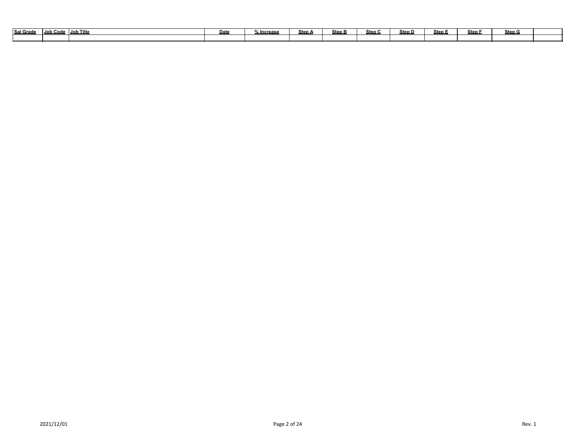| <b>Sal Grade</b> | Job Title<br>Job Code | Date | $\sim$<br><u> 6 Increase</u> | Step / | Step B | Step C | Step D | Step | Step | Step G |  |
|------------------|-----------------------|------|------------------------------|--------|--------|--------|--------|------|------|--------|--|
|                  |                       |      |                              |        |        |        |        |      |      |        |  |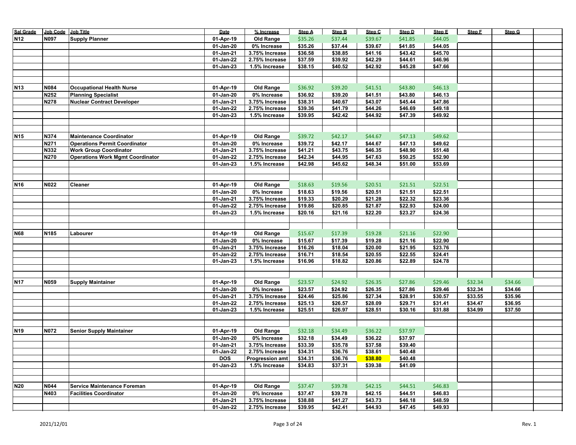| <b>Sal Grade</b> | Job Code Job Title |                                         | Date                    | % Increase             | <b>Step A</b> | <b>Step B</b> | Step C  | Step D  | Step E  | Step F  | Step G  |  |
|------------------|--------------------|-----------------------------------------|-------------------------|------------------------|---------------|---------------|---------|---------|---------|---------|---------|--|
| <b>N12</b>       | <b>N097</b>        | <b>Supply Planner</b>                   | 01-Apr-19               | Old Range              | \$35.26       | \$37.44       | \$39.67 | \$41.85 | \$44.05 |         |         |  |
|                  |                    |                                         | 01-Jan-20               | 0% Increase            | \$35.26       | \$37.44       | \$39.67 | \$41.85 | \$44.05 |         |         |  |
|                  |                    |                                         | 01-Jan-21               | 3.75% Increase         | \$36.58       | \$38.85       | \$41.16 | \$43.42 | \$45.70 |         |         |  |
|                  |                    |                                         | 01-Jan-22               | 2.75% Increase         | \$37.59       | \$39.92       | \$42.29 | \$44.61 | \$46.96 |         |         |  |
|                  |                    |                                         | 01-Jan-23               | 1.5% Increase          | \$38.15       | \$40.52       | \$42.92 | \$45.28 | \$47.66 |         |         |  |
|                  |                    |                                         |                         |                        |               |               |         |         |         |         |         |  |
|                  |                    |                                         |                         |                        |               |               |         |         |         |         |         |  |
| <b>N13</b>       | N084               | <b>Occupational Health Nurse</b>        | 01-Apr-19               | Old Range              | \$36.92       | \$39.20       | \$41.51 | \$43.80 | \$46.13 |         |         |  |
|                  | N252               | <b>Planning Specialist</b>              | 01-Jan-20               | 0% Increase            | \$36.92       | \$39.20       | \$41.51 | \$43.80 | \$46.13 |         |         |  |
|                  | <b>N278</b>        | <b>Nuclear Contract Developer</b>       | 01-Jan-21               | 3.75% Increase         | \$38.31       | \$40.67       | \$43.07 | \$45.44 | \$47.86 |         |         |  |
|                  |                    |                                         | 01-Jan-22               | 2.75% Increase         | \$39.36       | \$41.79       | \$44.26 | \$46.69 | \$49.18 |         |         |  |
|                  |                    |                                         |                         |                        |               |               |         |         |         |         |         |  |
|                  |                    |                                         | 01-Jan-23               | 1.5% Increase          | \$39.95       | \$42.42       | \$44.92 | \$47.39 | \$49.92 |         |         |  |
|                  |                    |                                         |                         |                        |               |               |         |         |         |         |         |  |
| N <sub>15</sub>  | N374               | <b>Maintenance Coordinator</b>          |                         |                        |               | \$42.17       | \$44.67 | \$47.13 | \$49.62 |         |         |  |
|                  |                    |                                         | 01-Apr-19               | <b>Old Range</b>       | \$39.72       |               |         |         |         |         |         |  |
|                  | N271               | <b>Operations Permit Coordinator</b>    | 01-Jan-20               | 0% Increase            | \$39.72       | \$42.17       | \$44.67 | \$47.13 | \$49.62 |         |         |  |
|                  | N332               | <b>Work Group Coordinator</b>           | $\overline{01}$ -Jan-21 | 3.75% Increase         | \$41.21       | \$43.75       | \$46.35 | \$48.90 | \$51.48 |         |         |  |
|                  | N270               | <b>Operations Work Mgmt Coordinator</b> | 01-Jan-22               | 2.75% Increase         | \$42.34       | \$44.95       | \$47.63 | \$50.25 | \$52.90 |         |         |  |
|                  |                    |                                         | $01$ -Jan-23            | 1.5% Increase          | \$42.98       | \$45.62       | \$48.34 | \$51.00 | \$53.69 |         |         |  |
|                  |                    |                                         |                         |                        |               |               |         |         |         |         |         |  |
|                  |                    |                                         |                         |                        |               |               |         |         |         |         |         |  |
| N <sub>16</sub>  | N022               | Cleaner                                 | 01-Apr-19               | <b>Old Range</b>       | \$18.63       | \$19.56       | \$20.51 | \$21.51 | \$22.51 |         |         |  |
|                  |                    |                                         | 01-Jan-20               | 0% Increase            | \$18.63       | \$19.56       | \$20.51 | \$21.51 | \$22.51 |         |         |  |
|                  |                    |                                         | 01-Jan-21               | 3.75% Increase         | \$19.33       | \$20.29       | \$21.28 | \$22.32 | \$23.36 |         |         |  |
|                  |                    |                                         | 01-Jan-22               | 2.75% Increase         | \$19.86       | \$20.85       | \$21.87 | \$22.93 | \$24.00 |         |         |  |
|                  |                    |                                         | 01-Jan-23               | 1.5% Increase          | \$20.16       | \$21.16       | \$22.20 | \$23.27 | \$24.36 |         |         |  |
|                  |                    |                                         |                         |                        |               |               |         |         |         |         |         |  |
|                  |                    |                                         |                         |                        |               |               |         |         |         |         |         |  |
| <b>N68</b>       | N <sub>185</sub>   | Labourer                                | 01-Apr-19               | Old Range              | \$15.67       | \$17.39       | \$19.28 | \$21.16 | \$22.90 |         |         |  |
|                  |                    |                                         | 01-Jan-20               | 0% Increase            | \$15.67       | \$17.39       | \$19.28 | \$21.16 | \$22.90 |         |         |  |
|                  |                    |                                         | 01-Jan-21               | 3.75% Increase         | \$16.26       | \$18.04       | \$20.00 | \$21.95 | \$23.76 |         |         |  |
|                  |                    |                                         | 01-Jan-22               | 2.75% Increase         | \$16.71       | \$18.54       | \$20.55 | \$22.55 | \$24.41 |         |         |  |
|                  |                    |                                         | $01$ -Jan-23            | 1.5% Increase          | \$16.96       | \$18.82       | \$20.86 | \$22.89 | \$24.78 |         |         |  |
|                  |                    |                                         |                         |                        |               |               |         |         |         |         |         |  |
|                  |                    |                                         |                         |                        |               |               |         |         |         |         |         |  |
| <b>N17</b>       | N059               | <b>Supply Maintainer</b>                | 01-Apr-19               | <b>Old Range</b>       | \$23.57       | \$24.92       | \$26.35 | \$27.86 | \$29.46 | \$32.34 | \$34.66 |  |
|                  |                    |                                         | 01-Jan-20               | 0% Increase            | \$23.57       | \$24.92       | \$26.35 | \$27.86 | \$29.46 | \$32.34 | \$34.66 |  |
|                  |                    |                                         | 01-Jan-21               | 3.75% Increase         | \$24.46       | \$25.86       | \$27.34 | \$28.91 | \$30.57 | \$33.55 | \$35.96 |  |
|                  |                    |                                         | 01-Jan-22               | 2.75% Increase         | \$25.13       | \$26.57       | \$28.09 | \$29.71 | \$31.41 | \$34.47 | \$36.95 |  |
|                  |                    |                                         | 01-Jan-23               | 1.5% Increase          | \$25.51       | \$26.97       | \$28.51 | \$30.16 | \$31.88 | \$34.99 | \$37.50 |  |
|                  |                    |                                         |                         |                        |               |               |         |         |         |         |         |  |
|                  |                    |                                         |                         |                        |               |               |         |         |         |         |         |  |
| N <sub>19</sub>  | <b>N072</b>        | <b>Senior Supply Maintainer</b>         | 01-Apr-19               | <b>Old Range</b>       | \$32.18       | \$34.49       | \$36.22 | \$37.97 |         |         |         |  |
|                  |                    |                                         | 01-Jan-20               | 0% Increase            | \$32.18       | \$34.49       | \$36.22 | \$37.97 |         |         |         |  |
|                  |                    |                                         | 01-Jan-21               | 3.75% Increase         | \$33.39       | \$35.78       | \$37.58 | \$39.40 |         |         |         |  |
|                  |                    |                                         | 01-Jan-22               | 2.75% Increase         | \$34.31       | \$36.76       | \$38.61 | \$40.48 |         |         |         |  |
|                  |                    |                                         | <b>DOS</b>              | <b>Progression amt</b> | \$34.31       | \$36.76       | \$38.80 | \$40.48 |         |         |         |  |
|                  |                    |                                         | 01-Jan-23               | 1.5% Increase          | \$34.83       | \$37.31       | \$39.38 | \$41.09 |         |         |         |  |
|                  |                    |                                         |                         |                        |               |               |         |         |         |         |         |  |
|                  |                    |                                         |                         |                        |               |               |         |         |         |         |         |  |
| <b>N20</b>       | N044               | <b>Service Maintenance Foreman</b>      | 01-Apr-19               | Old Range              | \$37.47       | \$39.78       | \$42.15 | \$44.51 | \$46.83 |         |         |  |
|                  | N403               | <b>Facilities Coordinator</b>           | 01-Jan-20               | 0% Increase            | \$37.47       | \$39.78       | \$42.15 | \$44.51 | \$46.83 |         |         |  |
|                  |                    |                                         | 01-Jan-21               | 3.75% Increase         | \$38.88       | \$41.27       | \$43.73 | \$46.18 | \$48.59 |         |         |  |
|                  |                    |                                         | 01-Jan-22               | 2.75% Increase         | \$39.95       | \$42.41       | \$44.93 | \$47.45 | \$49.93 |         |         |  |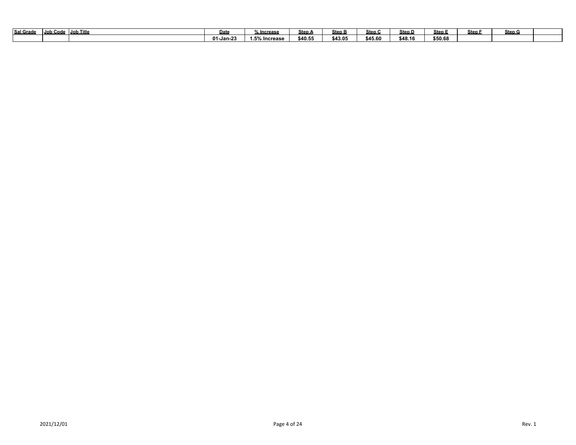| Sal Grad | Job Code | Job Title | Date                                   | <sub>∕∘</sub> Increase                   | Steo ∧                  | <u>Step B</u> | Step (  | Step D  | Step.   | Step | Step G |  |
|----------|----------|-----------|----------------------------------------|------------------------------------------|-------------------------|---------------|---------|---------|---------|------|--------|--|
|          |          |           | $\mathbf{A}$<br>ึ <sup>ก</sup> 1-Jan-2 | $\sim$ = $\sim$ $\sim$<br>% Increase<br> | <b>\$40 F</b><br>740.JL | \$43.05       | \$45.60 | \$48.16 | \$50.68 |      |        |  |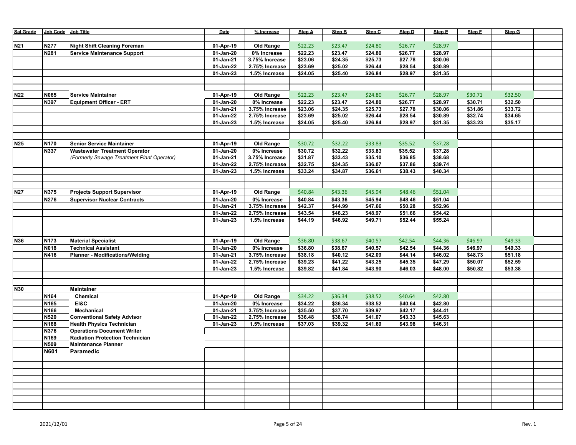| Sal Grade       | Job Code Job Title |                                            | Date                   | % Increase                    | Step A             | <b>Step B</b>      | Step C             | Step D             | Step E             | Step F  | Step G  |  |
|-----------------|--------------------|--------------------------------------------|------------------------|-------------------------------|--------------------|--------------------|--------------------|--------------------|--------------------|---------|---------|--|
|                 | N277               |                                            |                        |                               |                    |                    | \$24.80            |                    | \$28.97            |         |         |  |
| <b>N21</b>      |                    | <b>Night Shift Cleaning Foreman</b>        | 01-Apr-19              | Old Range                     | \$22.23            | \$23.47            |                    | \$26.77            |                    |         |         |  |
|                 | N281               | <b>Service Maintenance Support</b>         | 01-Jan-20<br>01-Jan-21 | 0% Increase<br>3.75% Increase | \$22.23<br>\$23.06 | \$23.47<br>\$24.35 | \$24.80<br>\$25.73 | \$26.77<br>\$27.78 | \$28.97<br>\$30.06 |         |         |  |
|                 |                    |                                            | 01-Jan-22              | 2.75% Increase                | \$23.69            | \$25.02            | \$26.44            | \$28.54            | \$30.89            |         |         |  |
|                 |                    |                                            | 01-Jan-23              | 1.5% Increase                 | \$24.05            | \$25.40            | \$26.84            | \$28.97            | \$31.35            |         |         |  |
|                 |                    |                                            |                        |                               |                    |                    |                    |                    |                    |         |         |  |
|                 |                    |                                            |                        |                               |                    |                    |                    |                    |                    |         |         |  |
| N22             | N065               | <b>Service Maintainer</b>                  | 01-Apr-19              | Old Range                     | \$22.23            | \$23.47            | \$24.80            | \$26.77            | \$28.97            | \$30.71 | \$32.50 |  |
|                 | N397               | <b>Equipment Officer - ERT</b>             | 01-Jan-20              | 0% Increase                   | \$22.23            | \$23.47            | \$24.80            | \$26.77            | \$28.97            | \$30.71 | \$32.50 |  |
|                 |                    |                                            | 01-Jan-21              | 3.75% Increase                | \$23.06            | \$24.35            | \$25.73            | \$27.78            | \$30.06            | \$31.86 | \$33.72 |  |
|                 |                    |                                            | 01-Jan-22              | 2.75% Increase                | \$23.69            | \$25.02            | \$26.44            | \$28.54            | \$30.89            | \$32.74 | \$34.65 |  |
|                 |                    |                                            | 01-Jan-23              | 1.5% Increase                 | \$24.05            | \$25.40            | \$26.84            | \$28.97            | \$31.35            | \$33.23 | \$35.17 |  |
|                 |                    |                                            |                        |                               |                    |                    |                    |                    |                    |         |         |  |
|                 |                    |                                            |                        |                               |                    |                    |                    |                    |                    |         |         |  |
| N <sub>25</sub> | N170               | <b>Senior Service Maintainer</b>           | 01-Apr-19              | <b>Old Range</b>              | \$30.72            | \$32.22            | \$33.83            | \$35.52            | \$37.28            |         |         |  |
|                 | N337               | <b>Wastewater Treatment Operator</b>       | 01-Jan-20              | 0% Increase                   | \$30.72            | \$32.22            | \$33.83            | \$35.52            | \$37.28            |         |         |  |
|                 |                    | (Formerly Sewage Treatment Plant Operator) | 01-Jan-21              | 3.75% Increase                | \$31.87            | \$33.43            | \$35.10            | \$36.85            | \$38.68            |         |         |  |
|                 |                    |                                            | 01-Jan-22              | 2.75% Increase                | \$32.75            | \$34.35            | \$36.07            | \$37.86            | \$39.74            |         |         |  |
|                 |                    |                                            | 01-Jan-23              | 1.5% Increase                 | \$33.24            | \$34.87            | \$36.61            | \$38.43            | \$40.34            |         |         |  |
|                 |                    |                                            |                        |                               |                    |                    |                    |                    |                    |         |         |  |
| N27             | N375               | <b>Projects Support Supervisor</b>         | 01-Apr-19              | Old Range                     | \$40.84            | \$43.36            | \$45.94            | \$48.46            | \$51.04            |         |         |  |
|                 | N276               | <b>Supervisor Nuclear Contracts</b>        | 01-Jan-20              | 0% Increase                   | \$40.84            | \$43.36            | \$45.94            | \$48.46            | \$51.04            |         |         |  |
|                 |                    |                                            | 01-Jan-21              | 3.75% Increase                | \$42.37            | \$44.99            | \$47.66            | \$50.28            | \$52.96            |         |         |  |
|                 |                    |                                            | 01-Jan-22              | 2.75% Increase                | \$43.54            | \$46.23            | \$48.97            | \$51.66            | \$54.42            |         |         |  |
|                 |                    |                                            | 01-Jan-23              | 1.5% Increase                 | \$44.19            | \$46.92            | \$49.71            | \$52.44            | \$55.24            |         |         |  |
|                 |                    |                                            |                        |                               |                    |                    |                    |                    |                    |         |         |  |
|                 |                    |                                            |                        |                               |                    |                    |                    |                    |                    |         |         |  |
| N36             | N173               | <b>Material Specialist</b>                 | 01-Apr-19              | <b>Old Range</b>              | \$36.80            | \$38.67            | \$40.57            | \$42.54            | \$44.36            | \$46.97 | \$49.33 |  |
|                 | N018               | <b>Technical Assistant</b>                 | 01-Jan-20              | 0% Increase                   | \$36.80            | \$38.67            | \$40.57            | \$42.54            | \$44.36            | \$46.97 | \$49.33 |  |
|                 | N416               | <b>Planner - Modifications/Welding</b>     | 01-Jan-21              | 3.75% Increase                | \$38.18            | \$40.12            | \$42.09            | \$44.14            | \$46.02            | \$48.73 | \$51.18 |  |
|                 |                    |                                            | 01-Jan-22              | 2.75% Increase                | \$39.23            | \$41.22            | \$43.25            | \$45.35            | \$47.29            | \$50.07 | \$52.59 |  |
|                 |                    |                                            | 01-Jan-23              | 1.5% Increase                 | \$39.82            | \$41.84            | \$43.90            | \$46.03            | \$48.00            | \$50.82 | \$53.38 |  |
|                 |                    |                                            |                        |                               |                    |                    |                    |                    |                    |         |         |  |
|                 |                    |                                            |                        |                               |                    |                    |                    |                    |                    |         |         |  |
| <b>N30</b>      |                    | Maintainer                                 |                        |                               |                    |                    |                    |                    |                    |         |         |  |
|                 | N164               | Chemical<br>EI&C                           | 01-Apr-19              | <b>Old Range</b>              | \$34.22            | \$36.34            | \$38.52            | \$40.64            | \$42.80            |         |         |  |
|                 | N165<br>N166       | <b>Mechanical</b>                          | 01-Jan-20<br>01-Jan-21 | 0% Increase<br>3.75% Increase | \$34.22<br>\$35.50 | \$36.34<br>\$37.70 | \$38.52<br>\$39.97 | \$40.64<br>\$42.17 | \$42.80<br>\$44.41 |         |         |  |
|                 | N520               | <b>Conventional Safety Advisor</b>         | 01-Jan-22              | 2.75% Increase                | \$36.48            | \$38.74            | \$41.07            | \$43.33            | \$45.63            |         |         |  |
|                 | N168               | <b>Health Physics Technician</b>           | 01-Jan-23              | 1.5% Increase                 | \$37.03            | \$39.32            | \$41.69            | \$43.98            | \$46.31            |         |         |  |
|                 | N376               | <b>Operations Document Writer</b>          |                        |                               |                    |                    |                    |                    |                    |         |         |  |
|                 | N169               | <b>Radiation Protection Technician</b>     |                        |                               |                    |                    |                    |                    |                    |         |         |  |
|                 | N509               | <b>Maintenance Planner</b>                 |                        |                               |                    |                    |                    |                    |                    |         |         |  |
|                 | <b>N601</b>        | Paramedic                                  |                        |                               |                    |                    |                    |                    |                    |         |         |  |
|                 |                    |                                            |                        |                               |                    |                    |                    |                    |                    |         |         |  |
|                 |                    |                                            |                        |                               |                    |                    |                    |                    |                    |         |         |  |
|                 |                    |                                            |                        |                               |                    |                    |                    |                    |                    |         |         |  |
|                 |                    |                                            |                        |                               |                    |                    |                    |                    |                    |         |         |  |
|                 |                    |                                            |                        |                               |                    |                    |                    |                    |                    |         |         |  |
|                 |                    |                                            |                        |                               |                    |                    |                    |                    |                    |         |         |  |
|                 |                    |                                            |                        |                               |                    |                    |                    |                    |                    |         |         |  |
|                 |                    |                                            |                        |                               |                    |                    |                    |                    |                    |         |         |  |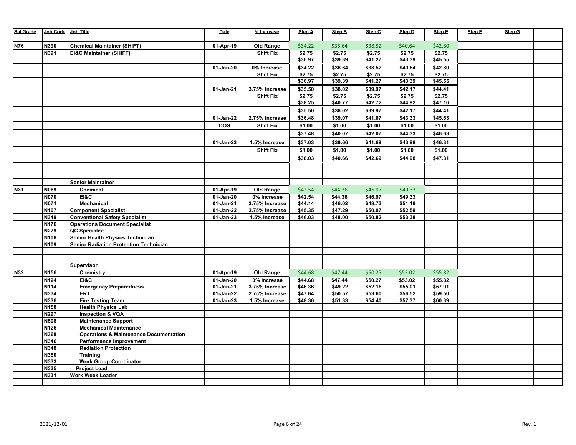| Sal Grade  | Job Code Job Title |                                                   | Date       | % Increase       | Step A  | Step B  | Step C  | Step D  | Step E  | Step F | Step G |  |
|------------|--------------------|---------------------------------------------------|------------|------------------|---------|---------|---------|---------|---------|--------|--------|--|
|            |                    |                                                   |            |                  |         |         |         |         |         |        |        |  |
| <b>N76</b> | N390               | <b>Chemical Maintainer (SHIFT)</b>                | 01-Apr-19  | Old Range        | \$34.22 | \$36.64 | \$38.52 | \$40.64 | \$42.80 |        |        |  |
|            | N391               | <b>EI&amp;C Maintainer (SHIFT)</b>                |            | <b>Shift Fix</b> | \$2.75  | \$2.75  | \$2.75  | \$2.75  | \$2.75  |        |        |  |
|            |                    |                                                   |            |                  | \$36.97 | \$39.39 | \$41.27 | \$43.39 | \$45.55 |        |        |  |
|            |                    |                                                   | 01-Jan-20  | 0% Increase      | \$34.22 | \$36.64 | \$38.52 | \$40.64 | \$42.80 |        |        |  |
|            |                    |                                                   |            | <b>Shift Fix</b> | \$2.75  | \$2.75  | \$2.75  | \$2.75  | \$2.75  |        |        |  |
|            |                    |                                                   |            |                  | \$36.97 | \$39.39 | \$41.27 | \$43.39 | \$45.55 |        |        |  |
|            |                    |                                                   | 01-Jan-21  | 3.75% Increase   | \$35.50 | \$38.02 | \$39.97 | \$42.17 | \$44.41 |        |        |  |
|            |                    |                                                   |            | <b>Shift Fix</b> | \$2.75  | \$2.75  | \$2.75  | \$2.75  | \$2.75  |        |        |  |
|            |                    |                                                   |            |                  | \$38.25 | \$40.77 | \$42.72 | \$44.92 | \$47.16 |        |        |  |
|            |                    |                                                   |            |                  |         |         |         |         |         |        |        |  |
|            |                    |                                                   |            |                  | \$35.50 | \$38.02 | \$39.97 | \$42.17 | \$44.41 |        |        |  |
|            |                    |                                                   | 01-Jan-22  | 2.75% Increase   | \$36.48 | \$39.07 | \$41.07 | \$43.33 | \$45.63 |        |        |  |
|            |                    |                                                   | <b>DOS</b> | <b>Shift Fix</b> | \$1.00  | \$1.00  | \$1.00  | \$1.00  | \$1.00  |        |        |  |
|            |                    |                                                   |            |                  | \$37.48 | \$40.07 | \$42.07 | \$44.33 | \$46.63 |        |        |  |
|            |                    |                                                   | 01-Jan-23  | 1.5% Increase    | \$37.03 | \$39.66 | \$41.69 | \$43.98 | \$46.31 |        |        |  |
|            |                    |                                                   |            | <b>Shift Fix</b> | \$1.00  | \$1.00  | \$1.00  | \$1.00  | \$1.00  |        |        |  |
|            |                    |                                                   |            |                  | \$38.03 | \$40.66 | \$42.69 | \$44.98 | \$47.31 |        |        |  |
|            |                    |                                                   |            |                  |         |         |         |         |         |        |        |  |
|            |                    |                                                   |            |                  |         |         |         |         |         |        |        |  |
|            |                    |                                                   |            |                  |         |         |         |         |         |        |        |  |
|            |                    | <b>Senior Maintainer</b>                          |            |                  |         |         |         |         |         |        |        |  |
| N31        | N069               | Chemical                                          | 01-Apr-19  | Old Range        | \$42.54 | \$44.36 | \$46.97 | \$49.33 |         |        |        |  |
|            | <b>N070</b>        | EI&C                                              | 01-Jan-20  | 0% Increase      | \$42.54 | \$44.36 | \$46.97 | \$49.33 |         |        |        |  |
|            | <b>N071</b>        | <b>Mechanical</b>                                 | 01-Jan-21  | 3.75% Increase   | \$44.14 | \$46.02 | \$48.73 | \$51.18 |         |        |        |  |
|            | N107               | <b>Component Specialist</b>                       | 01-Jan-22  | 2.75% Increase   | \$45.35 | \$47.29 | \$50.07 | \$52.59 |         |        |        |  |
|            | N349               | <b>Conventional Safety Specialist</b>             | 01-Jan-23  | 1.5% Increase    | \$46.03 | \$48.00 | \$50.82 | \$53.38 |         |        |        |  |
|            | N176               | <b>Operations Document Specialist</b>             |            |                  |         |         |         |         |         |        |        |  |
|            | N279               | <b>QC Specialist</b>                              |            |                  |         |         |         |         |         |        |        |  |
|            | N108               | Senior Health Physics Technician                  |            |                  |         |         |         |         |         |        |        |  |
|            | N109               | <b>Senior Radiation Protection Technician</b>     |            |                  |         |         |         |         |         |        |        |  |
|            |                    |                                                   |            |                  |         |         |         |         |         |        |        |  |
|            |                    |                                                   |            |                  |         |         |         |         |         |        |        |  |
|            |                    | Supervisor                                        |            |                  |         |         |         |         |         |        |        |  |
| <b>N32</b> | N156               | Chemistry                                         | 01-Apr-19  | <b>Old Range</b> | \$44.68 | \$47.44 | \$50.27 | \$53.02 | \$55.82 |        |        |  |
|            | N124               | E18C                                              | 01-Jan-20  | 0% Increase      | \$44.68 | \$47.44 | \$50.27 | \$53.02 | \$55.82 |        |        |  |
|            | N114               | <b>Emergency Preparedness</b>                     | 01-Jan-21  | 3.75% Increase   | \$46.36 | \$49.22 | \$52.16 | \$55.01 | \$57.91 |        |        |  |
|            | N334               | <b>ERT</b>                                        | 01-Jan-22  | 2.75% Increase   | \$47.64 | \$50.57 | \$53.60 | \$56.52 | \$59.50 |        |        |  |
|            | N336               | <b>Fire Testing Team</b>                          | 01-Jan-23  | 1.5% Increase    | \$48.36 | \$51.33 | \$54.40 | \$57.37 | \$60.39 |        |        |  |
|            | N158               | <b>Health Physics Lab</b>                         |            |                  |         |         |         |         |         |        |        |  |
|            | N297               | <b>Inspection &amp; VQA</b>                       |            |                  |         |         |         |         |         |        |        |  |
|            | <b>N508</b>        | <b>Maintenance Support</b>                        |            |                  |         |         |         |         |         |        |        |  |
|            | N126               | <b>Mechanical Maintenance</b>                     |            |                  |         |         |         |         |         |        |        |  |
|            | N368               | <b>Operations &amp; Maintenance Documentation</b> |            |                  |         |         |         |         |         |        |        |  |
|            | N346               | <b>Performance Improvement</b>                    |            |                  |         |         |         |         |         |        |        |  |
|            | N348<br>N350       | <b>Radiation Protection</b><br><b>Training</b>    |            |                  |         |         |         |         |         |        |        |  |
|            | N333               | <b>Work Group Coordinator</b>                     |            |                  |         |         |         |         |         |        |        |  |
|            | N335               | <b>Project Lead</b>                               |            |                  |         |         |         |         |         |        |        |  |
|            | N331               | <b>Work Week Leader</b>                           |            |                  |         |         |         |         |         |        |        |  |
|            |                    |                                                   |            |                  |         |         |         |         |         |        |        |  |
|            |                    |                                                   |            |                  |         |         |         |         |         |        |        |  |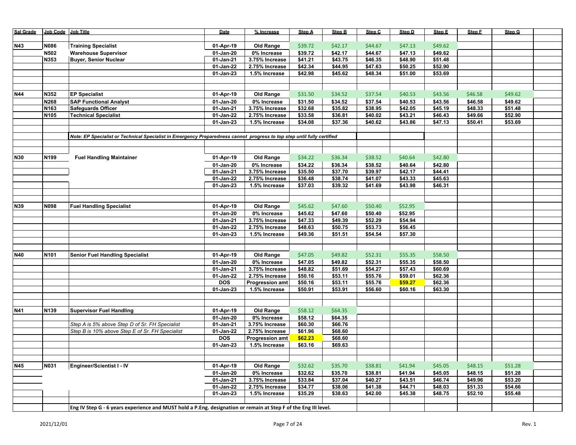| Sal Grade  | Job Code Job Title |                                                                                                                         | Date                   | % Increase                              | Step A             | Step B             | Step C             | Step D             | Step E             | Step F  | Step G  |  |
|------------|--------------------|-------------------------------------------------------------------------------------------------------------------------|------------------------|-----------------------------------------|--------------------|--------------------|--------------------|--------------------|--------------------|---------|---------|--|
|            |                    |                                                                                                                         |                        |                                         |                    |                    |                    |                    |                    |         |         |  |
| <b>N43</b> | N086               | <b>Training Specialist</b>                                                                                              | 01-Apr-19              | <b>Old Range</b>                        | \$39.72            | \$42.17            | \$44.67            | \$47.13            | \$49.62            |         |         |  |
|            | N502               | <b>Warehouse Supervisor</b>                                                                                             | $01-Jan-20$            | 0% Increase                             | \$39.72            | \$42.17            | \$44.67            | \$47.13            | \$49.62            |         |         |  |
|            | N353               | <b>Buyer, Senior Nuclear</b>                                                                                            | 01-Jan-21              | 3.75% Increase                          | \$41.21            | \$43.75            | \$46.35            | \$48.90            | \$51.48            |         |         |  |
|            |                    |                                                                                                                         | 01-Jan-22              | 2.75% Increase                          | \$42.34            | \$44.95            | \$47.63            | \$50.25            | 552.90             |         |         |  |
|            |                    |                                                                                                                         | 01-Jan-23              | 1.5% Increase                           | \$42.98            | \$45.62            | \$48.34            | \$51.00            | \$53.69            |         |         |  |
|            |                    |                                                                                                                         |                        |                                         |                    |                    |                    |                    |                    |         |         |  |
|            |                    |                                                                                                                         |                        |                                         |                    |                    |                    |                    |                    |         |         |  |
| <b>N44</b> | N352               | <b>EP Specialist</b>                                                                                                    | 01-Apr-19              | Old Range                               | \$31.50            | \$34.52            | \$37.54            | \$40.53            | \$43.56            | \$46.58 | \$49.62 |  |
|            | N268               | <b>SAP Functional Analyst</b>                                                                                           | 01-Jan-20              | 0% Increase                             | \$31.50            | \$34.52            | \$37.54            | \$40.53            | \$43.56            | \$46.58 | \$49.62 |  |
|            | N <sub>163</sub>   | Safeguards Officer                                                                                                      | 01-Jan-21              | 3.75% Increase                          | \$32.68            | \$35.82            | \$38.95            | \$42.05            | \$45.19            | \$48.33 | \$51.48 |  |
|            | N <sub>105</sub>   | <b>Technical Specialist</b>                                                                                             | 01-Jan-22              | 2.75% Increase                          | \$33.58            | \$36.81            | \$40.02            | \$43.21            | \$46.43            | \$49.66 | \$52.90 |  |
|            |                    |                                                                                                                         | 01-Jan-23              | 1.5% Increase                           | \$34.08            | \$37.36            | \$40.62            | \$43.86            | \$47.13            | \$50.41 | \$53.69 |  |
|            |                    |                                                                                                                         |                        |                                         |                    |                    |                    |                    |                    |         |         |  |
|            |                    | Note: EP Specialist or Technical Specialist in Emergency Preparedness cannot progress to top step until fully certified |                        |                                         |                    |                    |                    |                    |                    |         |         |  |
|            |                    |                                                                                                                         |                        |                                         |                    |                    |                    |                    |                    |         |         |  |
|            |                    |                                                                                                                         |                        |                                         |                    |                    |                    |                    |                    |         |         |  |
| <b>N30</b> | N <sub>199</sub>   | <b>Fuel Handling Maintainer</b>                                                                                         | 01-Apr-19              | <b>Old Range</b>                        | \$34.22            | \$36.34            | \$38.52            | \$40.64            | \$42.80            |         |         |  |
|            |                    |                                                                                                                         | 01-Jan-20              | 0% Increase                             | \$34.22            | \$36.34            | \$38.52            | \$40.64            | \$42.80            |         |         |  |
|            |                    |                                                                                                                         | 01-Jan-21              | 3.75% Increase                          | \$35.50            | \$37.70            | \$39.97            | \$42.17            | \$44.41            |         |         |  |
|            |                    |                                                                                                                         | 01-Jan-22              | 2.75% Increase                          | \$36.48            | \$38.74            | \$41.07            | \$43.33            | \$45.63            |         |         |  |
|            |                    |                                                                                                                         | 01-Jan-23              | 1.5% Increase                           | \$37.03            | \$39.32            | \$41.69            | \$43.98            | \$46.31            |         |         |  |
|            |                    |                                                                                                                         |                        |                                         |                    |                    |                    |                    |                    |         |         |  |
|            |                    |                                                                                                                         |                        |                                         |                    |                    |                    |                    |                    |         |         |  |
| N39        | N098               |                                                                                                                         |                        |                                         | \$45.62            |                    | \$50.40            | \$52.95            |                    |         |         |  |
|            |                    | <b>Fuel Handling Specialist</b>                                                                                         | 01-Apr-19              | <b>Old Range</b>                        |                    | \$47.60            |                    |                    |                    |         |         |  |
|            |                    |                                                                                                                         | 01-Jan-20              | 0% Increase                             | \$45.62<br>\$47.33 | \$47.60            | \$50.40            | \$52.95<br>\$54.94 |                    |         |         |  |
|            |                    |                                                                                                                         | 01-Jan-21<br>01-Jan-22 | 3.75% Increase<br>2.75% Increase        | \$48.63            | \$49.39<br>\$50.75 | \$52.29<br>\$53.73 | \$56.45            |                    |         |         |  |
|            |                    |                                                                                                                         |                        | 1.5% Increase                           | \$49.36            | \$51.51            | \$54.54            | \$57.30            |                    |         |         |  |
|            |                    |                                                                                                                         | 01-Jan-23              |                                         |                    |                    |                    |                    |                    |         |         |  |
|            |                    |                                                                                                                         |                        |                                         |                    |                    |                    |                    |                    |         |         |  |
| <b>N40</b> |                    |                                                                                                                         |                        | Old Range                               | \$47.05            | \$49.82            | \$52.31            |                    | \$58.50            |         |         |  |
|            | N <sub>101</sub>   | <b>Senior Fuel Handling Specialist</b>                                                                                  | 01-Apr-19              |                                         |                    |                    |                    | \$55.35            |                    |         |         |  |
|            |                    |                                                                                                                         | 01-Jan-20              | $0\%$ Increase                          | \$47.05            | \$49.82            | \$52.31            | \$55.35            | \$58.50            |         |         |  |
|            |                    |                                                                                                                         | 01-Jan-21              | 3.75% Increase                          | \$48.82            | \$51.69            | \$54.27            | \$57.43            | \$60.69            |         |         |  |
|            |                    |                                                                                                                         | 01-Jan-22<br>DOS       | 2.75% Increase                          | \$50.16<br>\$50.16 | \$53.11<br>\$53.11 | \$55.76<br>\$55.76 | \$59.01<br>\$59.27 | \$62.36<br>\$62.36 |         |         |  |
|            |                    |                                                                                                                         |                        | <b>Progression amt</b><br>1.5% Increase | \$50.91            | \$53.91            | \$56.60            |                    | \$63.30            |         |         |  |
|            |                    |                                                                                                                         | 01-Jan-23              |                                         |                    |                    |                    | \$60.16            |                    |         |         |  |
|            |                    |                                                                                                                         |                        |                                         |                    |                    |                    |                    |                    |         |         |  |
|            | N139               |                                                                                                                         |                        |                                         |                    |                    |                    |                    |                    |         |         |  |
| N41        |                    | <b>Supervisor Fuel Handling</b>                                                                                         | 01-Apr-19              | <b>Old Range</b>                        | \$58.12            | \$64.35            |                    |                    |                    |         |         |  |
|            |                    |                                                                                                                         | 01-Jan-20              | 0% Increase                             | \$58.12            | \$64.35            |                    |                    |                    |         |         |  |
|            |                    | Step A is 5% above Step D of Sr. FH Specialist                                                                          | 01-Jan-21              | 3.75% Increase                          | \$60.30            | \$66.76            |                    |                    |                    |         |         |  |
|            |                    | Step B is 10% above Step E of Sr. FH Specialist                                                                         | 01-Jan-22              | 2.75% Increase                          | \$61.96            | \$68.60            |                    |                    |                    |         |         |  |
|            |                    |                                                                                                                         | <b>DOS</b>             | <b>Progression amt</b>                  | \$62.23            | \$68.60            |                    |                    |                    |         |         |  |
|            |                    |                                                                                                                         | 01-Jan-23              | 1.5% Increase                           | \$63.16            | \$69.63            |                    |                    |                    |         |         |  |
|            |                    |                                                                                                                         |                        |                                         |                    |                    |                    |                    |                    |         |         |  |
|            |                    |                                                                                                                         |                        |                                         |                    |                    |                    |                    |                    |         |         |  |
| <b>N45</b> | <b>N031</b>        | <b>Engineer/Scientist I - IV</b>                                                                                        | 01-Apr-19              | Old Range                               | \$32.62            | \$35.70            | \$38.81            | \$41.94            | \$45.05            | \$48.15 | \$51.28 |  |
|            |                    |                                                                                                                         | 01-Jan-20              | 0% Increase                             | \$32.62            | \$35.70            | \$38.81            | \$41.94            | \$45.05            | \$48.15 | \$51.28 |  |
|            |                    |                                                                                                                         | 01-Jan-21              | 3.75% Increase                          | \$33.84            | \$37.04            | \$40.27            | \$43.51            | \$46.74            | \$49.96 | \$53.20 |  |
|            |                    |                                                                                                                         | 01-Jan-22              | 2.75% Increase                          | \$34.77            | \$38.06            | \$41.38            | \$44.71            | \$48.03            | \$51.33 | \$54.66 |  |
|            |                    |                                                                                                                         | 01-Jan-23              | 1.5% Increase                           | \$35.29            | \$38.63            | \$42.00            | \$45.38            | \$48.75            | \$52.10 | \$55.48 |  |
|            |                    |                                                                                                                         |                        |                                         |                    |                    |                    |                    |                    |         |         |  |
|            |                    | Eng IV Step G - 6 years experience and MUST hold a P.Eng. designation or remain at Step F of the Eng III level.         |                        |                                         |                    |                    |                    |                    |                    |         |         |  |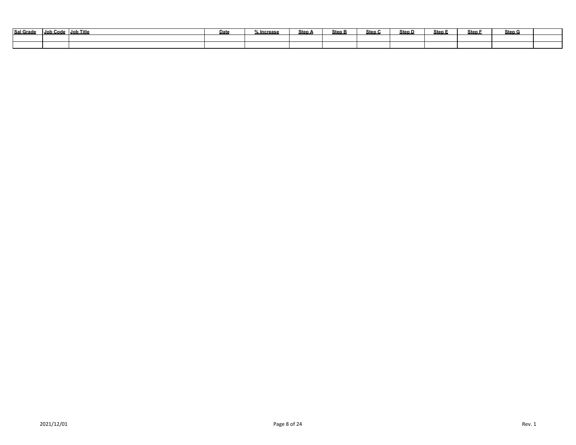| Sal Grade | Job Code | Job Title | Dat | .<br>lncrease ه | <b>Step A</b> | <b>Step B</b> | Step C | Step D | Step E | <b>Step</b> | Step G |  |
|-----------|----------|-----------|-----|-----------------|---------------|---------------|--------|--------|--------|-------------|--------|--|
|           |          |           |     |                 |               |               |        |        |        |             |        |  |
|           |          |           |     |                 |               |               |        |        |        |             |        |  |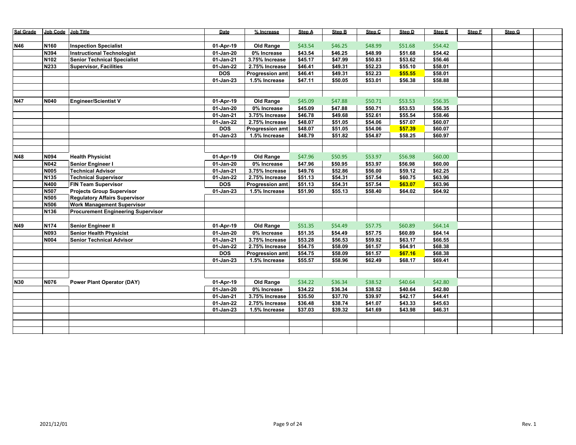| Sal Grade  | Job Code    | <b>Job Title</b>                          | Date         | % Increase             | Step A  | Step B  | Step C  | Step D  | Step E  | Step F | Step G |  |
|------------|-------------|-------------------------------------------|--------------|------------------------|---------|---------|---------|---------|---------|--------|--------|--|
|            |             |                                           |              |                        |         |         |         |         |         |        |        |  |
| N46        | N160        | <b>Inspection Specialist</b>              | 01-Apr-19    | Old Range              | \$43.54 | \$46.25 | \$48.99 | \$51.68 | \$54.42 |        |        |  |
|            | N394        | <b>Instructional Technologist</b>         | 01-Jan-20    | 0% Increase            | \$43.54 | \$46.25 | \$48.99 | \$51.68 | \$54.42 |        |        |  |
|            | N102        | <b>Senior Technical Specialist</b>        | 01-Jan-21    | 3.75% Increase         | \$45.17 | \$47.99 | \$50.83 | \$53.62 | \$56.46 |        |        |  |
|            | N233        | <b>Supervisor, Facilities</b>             | 01-Jan-22    | 2.75% Increase         | \$46.41 | \$49.31 | \$52.23 | \$55.10 | \$58.01 |        |        |  |
|            |             |                                           | <b>DOS</b>   | <b>Progression amt</b> | \$46.41 | \$49.31 | \$52.23 | \$55.55 | \$58.01 |        |        |  |
|            |             |                                           | $01$ -Jan-23 | 1.5% Increase          | \$47.11 | \$50.05 | \$53.01 | \$56.38 | \$58.88 |        |        |  |
|            |             |                                           |              |                        |         |         |         |         |         |        |        |  |
|            |             |                                           |              |                        |         |         |         |         |         |        |        |  |
| <b>N47</b> | N040        | <b>Engineer/Scientist V</b>               | 01-Apr-19    | <b>Old Range</b>       | \$45.09 | \$47.88 | \$50.71 | \$53.53 | \$56.35 |        |        |  |
|            |             |                                           | 01-Jan-20    | 0% Increase            | \$45.09 | \$47.88 | \$50.71 | \$53.53 | \$56.35 |        |        |  |
|            |             |                                           | 01-Jan-21    | 3.75% Increase         | \$46.78 | \$49.68 | \$52.61 | \$55.54 | \$58.46 |        |        |  |
|            |             |                                           | 01-Jan-22    | 2.75% Increase         | \$48.07 | \$51.05 | \$54.06 | \$57.07 | \$60.07 |        |        |  |
|            |             |                                           | <b>DOS</b>   | <b>Progression amt</b> | \$48.07 | \$51.05 | \$54.06 | \$57.39 | \$60.07 |        |        |  |
|            |             |                                           | $01-Jan-23$  | 1.5% Increase          | \$48.79 | \$51.82 | \$54.87 | \$58.25 | \$60.97 |        |        |  |
|            |             |                                           |              |                        |         |         |         |         |         |        |        |  |
|            |             |                                           |              |                        |         |         |         |         |         |        |        |  |
| <b>N48</b> | N094        | <b>Health Physicist</b>                   | 01-Apr-19    | Old Range              | \$47.96 | \$50.95 | \$53.97 | \$56.98 | \$60.00 |        |        |  |
|            | N042        | Senior Engineer I                         | 01-Jan-20    | 0% Increase            | \$47.96 | \$50.95 | \$53.97 | \$56.98 | \$60.00 |        |        |  |
|            | <b>N005</b> | <b>Technical Advisor</b>                  | 01-Jan-21    | 3.75% Increase         | \$49.76 | \$52.86 | \$56.00 | \$59.12 | \$62.25 |        |        |  |
|            | N135        | <b>Technical Supervisor</b>               | 01-Jan-22    | 2.75% Increase         | \$51.13 | \$54.31 | \$57.54 | \$60.75 | \$63.96 |        |        |  |
|            | N400        | <b>FIN Team Supervisor</b>                | <b>DOS</b>   | <b>Progression amt</b> | \$51.13 | \$54.31 | \$57.54 | \$63.07 | \$63.96 |        |        |  |
|            | N507        | <b>Projects Group Supervisor</b>          | 01-Jan-23    | 1.5% Increase          | \$51.90 | \$55.13 | \$58.40 | \$64.02 | \$64.92 |        |        |  |
|            | N505        | <b>Regulatory Affairs Supervisor</b>      |              |                        |         |         |         |         |         |        |        |  |
|            | N506        | <b>Work Management Supervisor</b>         |              |                        |         |         |         |         |         |        |        |  |
|            | N136        | <b>Procurement Engineering Supervisor</b> |              |                        |         |         |         |         |         |        |        |  |
|            |             |                                           |              |                        |         |         |         |         |         |        |        |  |
| N49        | N174        | Senior Engineer II                        | 01-Apr-19    | Old Range              | \$51.35 | \$54.49 | \$57.75 | \$60.89 | \$64.14 |        |        |  |
|            | N093        | <b>Senior Health Physicist</b>            | 01-Jan-20    | 0% Increase            | \$51.35 | \$54.49 | \$57.75 | \$60.89 | \$64.14 |        |        |  |
|            | <b>N004</b> | <b>Senior Technical Advisor</b>           | 01-Jan-21    | 3.75% Increase         | \$53.28 | \$56.53 | \$59.92 | \$63.17 | \$66.55 |        |        |  |
|            |             |                                           | 01-Jan-22    | 2.75% Increase         | \$54.75 | \$58.09 | \$61.57 | \$64.91 | \$68.38 |        |        |  |
|            |             |                                           | <b>DOS</b>   | <b>Progression amt</b> | \$54.75 | \$58.09 | \$61.57 | \$67.16 | \$68.38 |        |        |  |
|            |             |                                           | 01-Jan-23    | 1.5% Increase          | \$55.57 | \$58.96 | \$62.49 | \$68.17 | \$69.41 |        |        |  |
|            |             |                                           |              |                        |         |         |         |         |         |        |        |  |
|            |             |                                           |              |                        |         |         |         |         |         |        |        |  |
| <b>N30</b> | N076        | <b>Power Plant Operator (DAY)</b>         | 01-Apr-19    | Old Range              | \$34.22 | \$36.34 | \$38.52 | \$40.64 | \$42.80 |        |        |  |
|            |             |                                           | 01-Jan-20    | 0% Increase            | \$34.22 | \$36.34 | \$38.52 | \$40.64 | \$42.80 |        |        |  |
|            |             |                                           | 01-Jan-21    | 3.75% Increase         | \$35.50 | \$37.70 | \$39.97 | \$42.17 | \$44.41 |        |        |  |
|            |             |                                           | 01-Jan-22    | 2.75% Increase         | \$36.48 | \$38.74 | \$41.07 | \$43.33 | \$45.63 |        |        |  |
|            |             |                                           | 01-Jan-23    | 1.5% Increase          | \$37.03 | \$39.32 | \$41.69 | \$43.98 | \$46.31 |        |        |  |
|            |             |                                           |              |                        |         |         |         |         |         |        |        |  |
|            |             |                                           |              |                        |         |         |         |         |         |        |        |  |
|            |             |                                           |              |                        |         |         |         |         |         |        |        |  |
|            |             |                                           |              |                        |         |         |         |         |         |        |        |  |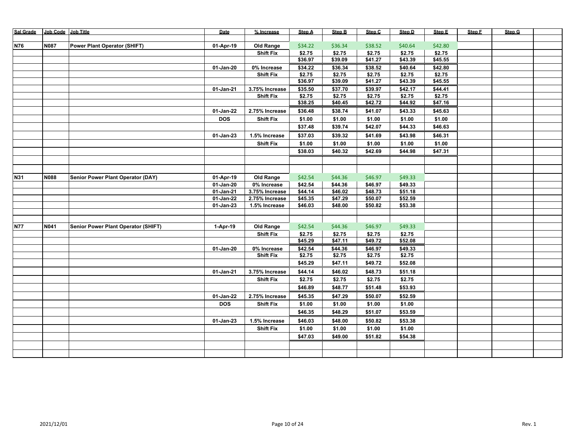| Sal Grade  | Job Code Job Title |                                            | Date         | % Increase                      | Step A  | Step B  | Step C  | Step D  | Step E  | Step F | Step G |  |
|------------|--------------------|--------------------------------------------|--------------|---------------------------------|---------|---------|---------|---------|---------|--------|--------|--|
|            |                    |                                            |              |                                 |         |         |         |         |         |        |        |  |
| <b>N76</b> | N087               | <b>Power Plant Operator (SHIFT)</b>        | 01-Apr-19    | Old Range                       | \$34.22 | \$36.34 | \$38.52 | \$40.64 | \$42.80 |        |        |  |
|            |                    |                                            |              | <b>Shift Fix</b>                | \$2.75  | \$2.75  | \$2.75  | \$2.75  | \$2.75  |        |        |  |
|            |                    |                                            |              |                                 | \$36.97 | \$39.09 | \$41.27 | \$43.39 | \$45.55 |        |        |  |
|            |                    |                                            | 01-Jan-20    | 0% Increase                     | \$34.22 | \$36.34 | \$38.52 | \$40.64 | \$42.80 |        |        |  |
|            |                    |                                            |              | <b>Shift Fix</b>                | \$2.75  | \$2.75  | \$2.75  | \$2.75  | \$2.75  |        |        |  |
|            |                    |                                            |              |                                 | \$36.97 | \$39.09 | \$41.27 | \$43.39 | \$45.55 |        |        |  |
|            |                    |                                            | 01-Jan-21    | 3.75% Increase                  | \$35.50 | \$37.70 | \$39.97 | \$42.17 | \$44.41 |        |        |  |
|            |                    |                                            |              | <b>Shift Fix</b>                | \$2.75  | \$2.75  | \$2.75  | \$2.75  | \$2.75  |        |        |  |
|            |                    |                                            |              |                                 | \$38.25 | \$40.45 | \$42.72 | \$44.92 | \$47.16 |        |        |  |
|            |                    |                                            | 01-Jan-22    | 2.75% Increase                  | \$36.48 | \$38.74 | \$41.07 | \$43.33 | \$45.63 |        |        |  |
|            |                    |                                            | <b>DOS</b>   | <b>Shift Fix</b>                | \$1.00  | \$1.00  | \$1.00  | \$1.00  | \$1.00  |        |        |  |
|            |                    |                                            |              |                                 | \$37.48 | \$39.74 | \$42.07 | \$44.33 | \$46.63 |        |        |  |
|            |                    |                                            | 01-Jan-23    | 1.5% Increase                   | \$37.03 | \$39.32 | \$41.69 | \$43.98 | \$46.31 |        |        |  |
|            |                    |                                            |              | <b>Shift Fix</b>                | \$1.00  | \$1.00  | \$1.00  | \$1.00  | \$1.00  |        |        |  |
|            |                    |                                            |              |                                 | \$38.03 | \$40.32 | \$42.69 | \$44.98 | \$47.31 |        |        |  |
|            |                    |                                            |              |                                 |         |         |         |         |         |        |        |  |
|            |                    |                                            |              |                                 |         |         |         |         |         |        |        |  |
| N31        | <b>N088</b>        |                                            | 01-Apr-19    |                                 | \$42.54 | \$44.36 | \$46.97 | \$49.33 |         |        |        |  |
|            |                    | Senior Power Plant Operator (DAY)          | $01$ -Jan-20 | <b>Old Range</b><br>0% Increase | \$42.54 | \$44.36 | \$46.97 | \$49.33 |         |        |        |  |
|            |                    |                                            | $01$ -Jan-21 | 3.75% Increase                  | \$44.14 | \$46.02 | \$48.73 | \$51.18 |         |        |        |  |
|            |                    |                                            | 01-Jan-22    | 2.75% Increase                  | \$45.35 | \$47.29 | \$50.07 | \$52.59 |         |        |        |  |
|            |                    |                                            | 01-Jan-23    | 1.5% Increase                   | \$46.03 | \$48.00 | \$50.82 | \$53.38 |         |        |        |  |
|            |                    |                                            |              |                                 |         |         |         |         |         |        |        |  |
|            |                    |                                            |              |                                 |         |         |         |         |         |        |        |  |
| <b>N77</b> | N041               | <b>Senior Power Plant Operator (SHIFT)</b> | 1-Apr-19     | Old Range                       | \$42.54 | \$44.36 | \$46.97 | \$49.33 |         |        |        |  |
|            |                    |                                            |              | <b>Shift Fix</b>                | \$2.75  | \$2.75  | \$2.75  | \$2.75  |         |        |        |  |
|            |                    |                                            |              |                                 | \$45.29 | \$47.11 | \$49.72 | \$52.08 |         |        |        |  |
|            |                    |                                            | 01-Jan-20    | 0% Increase                     | \$42.54 | \$44.36 | \$46.97 | \$49.33 |         |        |        |  |
|            |                    |                                            |              | <b>Shift Fix</b>                | \$2.75  | \$2.75  | \$2.75  | \$2.75  |         |        |        |  |
|            |                    |                                            |              |                                 | \$45.29 | \$47.11 | \$49.72 | \$52.08 |         |        |        |  |
|            |                    |                                            | 01-Jan-21    | 3.75% Increase                  | \$44.14 | \$46.02 | \$48.73 | \$51.18 |         |        |        |  |
|            |                    |                                            |              | <b>Shift Fix</b>                | \$2.75  | \$2.75  | \$2.75  | \$2.75  |         |        |        |  |
|            |                    |                                            |              |                                 | \$46.89 | \$48.77 | \$51.48 | \$53.93 |         |        |        |  |
|            |                    |                                            | 01-Jan-22    | 2.75% Increase                  | \$45.35 | \$47.29 | \$50.07 | \$52.59 |         |        |        |  |
|            |                    |                                            | <b>DOS</b>   | <b>Shift Fix</b>                | \$1.00  | \$1.00  | \$1.00  | \$1.00  |         |        |        |  |
|            |                    |                                            |              |                                 | \$46.35 | \$48.29 | \$51.07 | \$53.59 |         |        |        |  |
|            |                    |                                            |              |                                 |         |         |         |         |         |        |        |  |
|            |                    |                                            | 01-Jan-23    | 1.5% Increase                   | \$46.03 | \$48.00 | \$50.82 | \$53.38 |         |        |        |  |
|            |                    |                                            |              | <b>Shift Fix</b>                | \$1.00  | \$1.00  | \$1.00  | \$1.00  |         |        |        |  |
|            |                    |                                            |              |                                 | \$47.03 | \$49.00 | \$51.82 | \$54.38 |         |        |        |  |
|            |                    |                                            |              |                                 |         |         |         |         |         |        |        |  |
|            |                    |                                            |              |                                 |         |         |         |         |         |        |        |  |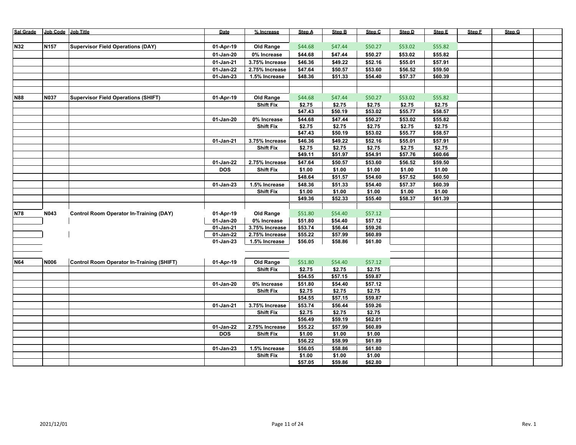| Sal Grade  | Job Code Job Title |                                                  | Date       | % Increase       | <b>Step A</b>  | Step B  | Step C  | Step D  | Step E  | Step F | Step G |  |
|------------|--------------------|--------------------------------------------------|------------|------------------|----------------|---------|---------|---------|---------|--------|--------|--|
|            |                    |                                                  |            |                  |                |         |         |         |         |        |        |  |
| <b>N32</b> | N157               | <b>Supervisor Field Operations (DAY)</b>         | 01-Apr-19  | Old Range        | \$44.68        | \$47.44 | \$50.27 | \$53.02 | \$55.82 |        |        |  |
|            |                    |                                                  | 01-Jan-20  | 0% Increase      | \$44.68        | \$47.44 | \$50.27 | \$53.02 | \$55.82 |        |        |  |
|            |                    |                                                  | 01-Jan-21  | 3.75% Increase   | \$46.36        | \$49.22 | \$52.16 | \$55.01 | \$57.91 |        |        |  |
|            |                    |                                                  | 01-Jan-22  | 2.75% Increase   | \$47.64        | \$50.57 | \$53.60 | \$56.52 | \$59.50 |        |        |  |
|            |                    |                                                  | 01-Jan-23  | 1.5% Increase    | \$48.36        | \$51.33 | \$54.40 | \$57.37 | \$60.39 |        |        |  |
|            |                    |                                                  |            |                  |                |         |         |         |         |        |        |  |
|            |                    |                                                  |            |                  |                |         |         |         |         |        |        |  |
| <b>N88</b> | N037               | <b>Supervisor Field Operations (SHIFT)</b>       | 01-Apr-19  | <b>Old Range</b> | \$44.68        | \$47.44 | \$50.27 | \$53.02 | \$55.82 |        |        |  |
|            |                    |                                                  |            | <b>Shift Fix</b> | \$2.75         | \$2.75  | \$2.75  | \$2.75  | \$2.75  |        |        |  |
|            |                    |                                                  |            |                  | \$47.43        | \$50.19 | \$53.02 | \$55.77 | \$58.57 |        |        |  |
|            |                    |                                                  | 01-Jan-20  | 0% Increase      | \$44.68        | \$47.44 | \$50.27 | \$53.02 | \$55.82 |        |        |  |
|            |                    |                                                  |            | <b>Shift Fix</b> | \$2.75         | \$2.75  | \$2.75  | \$2.75  | \$2.75  |        |        |  |
|            |                    |                                                  |            |                  | \$47.43        | \$50.19 | \$53.02 | \$55.77 | \$58.57 |        |        |  |
|            |                    |                                                  | 01-Jan-21  | 3.75% Increase   | \$46.36        | \$49.22 | \$52.16 | \$55.01 | \$57.91 |        |        |  |
|            |                    |                                                  |            | <b>Shift Fix</b> | \$2.75         | \$2.75  | \$2.75  | \$2.75  | \$2.75  |        |        |  |
|            |                    |                                                  |            |                  | \$49.11        | \$51.97 | \$54.91 | \$57.76 | \$60.66 |        |        |  |
|            |                    |                                                  | 01-Jan-22  | 2.75% Increase   | \$47.64        | \$50.57 | \$53.60 | \$56.52 | \$59.50 |        |        |  |
|            |                    |                                                  | <b>DOS</b> | <b>Shift Fix</b> | \$1.00         | \$1.00  | \$1.00  | \$1.00  | \$1.00  |        |        |  |
|            |                    |                                                  |            |                  | \$48.64        | \$51.57 | \$54.60 | \$57.52 | \$60.50 |        |        |  |
|            |                    |                                                  | 01-Jan-23  | 1.5% Increase    | \$48.36        | \$51.33 | \$54.40 | \$57.37 | \$60.39 |        |        |  |
|            |                    |                                                  |            | <b>Shift Fix</b> | $\sqrt{51.00}$ | \$1.00  | \$1.00  | \$1.00  | \$1.00  |        |        |  |
|            |                    |                                                  |            |                  | \$49.36        | \$52.33 | \$55.40 | \$58.37 | \$61.39 |        |        |  |
|            |                    |                                                  |            |                  |                |         |         |         |         |        |        |  |
| <b>N78</b> | N043               | <b>Control Room Operator In-Training (DAY)</b>   | 01-Apr-19  | <b>Old Range</b> | \$51.80        | \$54.40 | \$57.12 |         |         |        |        |  |
|            |                    |                                                  | 01-Jan-20  | 0% Increase      | \$51.80        | \$54.40 | \$57.12 |         |         |        |        |  |
|            |                    |                                                  | 01-Jan-21  | 3.75% Increase   | \$53.74        | \$56.44 | \$59.26 |         |         |        |        |  |
|            |                    |                                                  | 01-Jan-22  | 2.75% Increase   | \$55.22        | \$57.99 | \$60.89 |         |         |        |        |  |
|            |                    |                                                  | 01-Jan-23  | 1.5% Increase    | \$56.05        | \$58.86 | \$61.80 |         |         |        |        |  |
|            |                    |                                                  |            |                  |                |         |         |         |         |        |        |  |
|            |                    |                                                  |            |                  |                |         |         |         |         |        |        |  |
| N64        | <b>N006</b>        | <b>Control Room Operator In-Training (SHIFT)</b> | 01-Apr-19  | Old Range        | \$51.80        | \$54.40 | \$57.12 |         |         |        |        |  |
|            |                    |                                                  |            | <b>Shift Fix</b> | \$2.75         | \$2.75  | \$2.75  |         |         |        |        |  |
|            |                    |                                                  |            |                  | \$54.55        | \$57.15 | \$59.87 |         |         |        |        |  |
|            |                    |                                                  | 01-Jan-20  | 0% Increase      | \$51.80        | \$54.40 | \$57.12 |         |         |        |        |  |
|            |                    |                                                  |            | <b>Shift Fix</b> | \$2.75         | \$2.75  | \$2.75  |         |         |        |        |  |
|            |                    |                                                  |            |                  | \$54.55        | \$57.15 | \$59.87 |         |         |        |        |  |
|            |                    |                                                  | 01-Jan-21  | 3.75% Increase   | \$53.74        | \$56.44 | \$59.26 |         |         |        |        |  |
|            |                    |                                                  |            | <b>Shift Fix</b> | \$2.75         | \$2.75  | \$2.75  |         |         |        |        |  |
|            |                    |                                                  |            |                  | \$56.49        | \$59.19 | \$62.01 |         |         |        |        |  |
|            |                    |                                                  | 01-Jan-22  | 2.75% Increase   | \$55.22        | \$57.99 | \$60.89 |         |         |        |        |  |
|            |                    |                                                  | <b>DOS</b> | <b>Shift Fix</b> | \$1.00         | \$1.00  | \$1.00  |         |         |        |        |  |
|            |                    |                                                  |            |                  | \$56.22        | \$58.99 | \$61.89 |         |         |        |        |  |
|            |                    |                                                  | 01-Jan-23  | 1.5% Increase    | \$56.05        | \$58.86 | \$61.80 |         |         |        |        |  |
|            |                    |                                                  |            | <b>Shift Fix</b> | \$1.00         | \$1.00  | \$1.00  |         |         |        |        |  |
|            |                    |                                                  |            |                  | \$57.05        | \$59.86 | \$62.80 |         |         |        |        |  |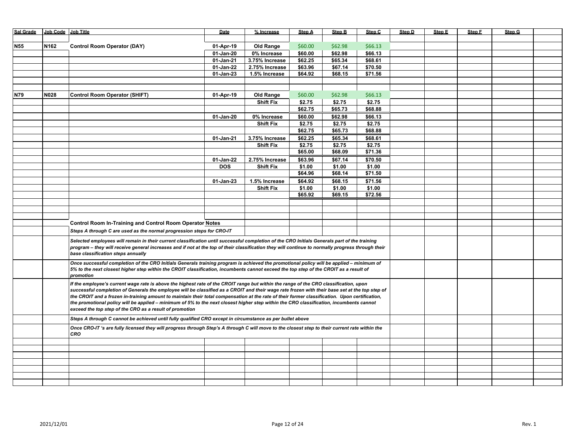| <b>Sal Grade</b> | Job Code Job Title |                                                                                                                                                       | Date        | % Increase       | <b>Step A</b> | Step B  | Step C  | Step D | Step E | Step F | Step G |  |
|------------------|--------------------|-------------------------------------------------------------------------------------------------------------------------------------------------------|-------------|------------------|---------------|---------|---------|--------|--------|--------|--------|--|
|                  |                    |                                                                                                                                                       |             |                  |               |         |         |        |        |        |        |  |
| <b>N55</b>       | N162               | <b>Control Room Operator (DAY)</b>                                                                                                                    | 01-Apr-19   | <b>Old Range</b> | \$60.00       | \$62.98 | \$66.13 |        |        |        |        |  |
|                  |                    |                                                                                                                                                       | $01-Jan-20$ | 0% Increase      | \$60.00       | \$62.98 | \$66.13 |        |        |        |        |  |
|                  |                    |                                                                                                                                                       | 01-Jan-21   | 3.75% Increase   | \$62.25       | \$65.34 | \$68.61 |        |        |        |        |  |
|                  |                    |                                                                                                                                                       | 01-Jan-22   | 2.75% Increase   | \$63.96       | \$67.14 | \$70.50 |        |        |        |        |  |
|                  |                    |                                                                                                                                                       | 01-Jan-23   | 1.5% Increase    | \$64.92       | \$68.15 | \$71.56 |        |        |        |        |  |
|                  |                    |                                                                                                                                                       |             |                  |               |         |         |        |        |        |        |  |
|                  |                    |                                                                                                                                                       |             |                  |               |         |         |        |        |        |        |  |
|                  |                    |                                                                                                                                                       |             |                  |               |         |         |        |        |        |        |  |
| N79              | N028               | <b>Control Room Operator (SHIFT)</b>                                                                                                                  | 01-Apr-19   | <b>Old Range</b> | \$60.00       | \$62.98 | \$66.13 |        |        |        |        |  |
|                  |                    |                                                                                                                                                       |             | <b>Shift Fix</b> | \$2.75        | \$2.75  | \$2.75  |        |        |        |        |  |
|                  |                    |                                                                                                                                                       |             |                  | \$62.75       | \$65.73 | \$68.88 |        |        |        |        |  |
|                  |                    |                                                                                                                                                       | 01-Jan-20   | 0% Increase      | \$60.00       | \$62.98 | \$66.13 |        |        |        |        |  |
|                  |                    |                                                                                                                                                       |             | <b>Shift Fix</b> | \$2.75        | \$2.75  | \$2.75  |        |        |        |        |  |
|                  |                    |                                                                                                                                                       |             |                  | \$62.75       | \$65.73 | \$68.88 |        |        |        |        |  |
|                  |                    |                                                                                                                                                       | 01-Jan-21   | 3.75% Increase   | \$62.25       | \$65.34 | \$68.61 |        |        |        |        |  |
|                  |                    |                                                                                                                                                       |             | <b>Shift Fix</b> | \$2.75        | \$2.75  | \$2.75  |        |        |        |        |  |
|                  |                    |                                                                                                                                                       |             |                  | \$65.00       | \$68.09 | \$71.36 |        |        |        |        |  |
|                  |                    |                                                                                                                                                       | 01-Jan-22   | 2.75% Increase   | \$63.96       | \$67.14 | \$70.50 |        |        |        |        |  |
|                  |                    |                                                                                                                                                       | <b>DOS</b>  | <b>Shift Fix</b> | \$1.00        | \$1.00  | \$1.00  |        |        |        |        |  |
|                  |                    |                                                                                                                                                       |             |                  | \$64.96       | \$68.14 | \$71.50 |        |        |        |        |  |
|                  |                    |                                                                                                                                                       |             |                  |               | \$68.15 | \$71.56 |        |        |        |        |  |
|                  |                    |                                                                                                                                                       | 01-Jan-23   | 1.5% Increase    | \$64.92       |         |         |        |        |        |        |  |
|                  |                    |                                                                                                                                                       |             | <b>Shift Fix</b> | \$1.00        | \$1.00  | \$1.00  |        |        |        |        |  |
|                  |                    |                                                                                                                                                       |             |                  | \$65.92       | \$69.15 | \$72.56 |        |        |        |        |  |
|                  |                    |                                                                                                                                                       |             |                  |               |         |         |        |        |        |        |  |
|                  |                    |                                                                                                                                                       |             |                  |               |         |         |        |        |        |        |  |
|                  |                    |                                                                                                                                                       |             |                  |               |         |         |        |        |        |        |  |
|                  |                    | <b>Control Room In-Training and Control Room Operator Notes</b>                                                                                       |             |                  |               |         |         |        |        |        |        |  |
|                  |                    | Steps A through C are used as the normal progression steps for CRO-IT                                                                                 |             |                  |               |         |         |        |        |        |        |  |
|                  |                    | Selected employees will remain in their current classification until successful completion of the CRO Initials Generals part of the training          |             |                  |               |         |         |        |        |        |        |  |
|                  |                    | program - they will receive general increases and if not at the top of their classification they will continue to normally progress through their     |             |                  |               |         |         |        |        |        |        |  |
|                  |                    | base classification steps annually                                                                                                                    |             |                  |               |         |         |        |        |        |        |  |
|                  |                    |                                                                                                                                                       |             |                  |               |         |         |        |        |        |        |  |
|                  |                    | Once successful completion of the CRO Initials Generals training program is achieved the promotional policy will be applied - minimum of              |             |                  |               |         |         |        |        |        |        |  |
|                  |                    | 5% to the next closest higher step within the CROIT classification, incumbents cannot exceed the top step of the CROIT as a result of                 |             |                  |               |         |         |        |        |        |        |  |
|                  |                    | promotion                                                                                                                                             |             |                  |               |         |         |        |        |        |        |  |
|                  |                    | If the employee's current wage rate is above the highest rate of the CROIT range but within the range of the CRO classification, upon                 |             |                  |               |         |         |        |        |        |        |  |
|                  |                    | successful completion of Generals the employee will be classified as a CROIT and their wage rate frozen with their base set at the top step of        |             |                  |               |         |         |        |        |        |        |  |
|                  |                    | the CROIT and a frozen in-training amount to maintain their total compensation at the rate of their former classification. Upon certification,        |             |                  |               |         |         |        |        |        |        |  |
|                  |                    | the promotional policy will be applied - minimum of 5% to the next closest higher step within the CRO classification, incumbents cannot               |             |                  |               |         |         |        |        |        |        |  |
|                  |                    | exceed the top step of the CRO as a result of promotion                                                                                               |             |                  |               |         |         |        |        |        |        |  |
|                  |                    | Steps A through C cannot be achieved until fully qualified CRO except in circumstance as per bullet above                                             |             |                  |               |         |         |        |        |        |        |  |
|                  |                    | Once CRO-IT 's are fully licensed they will progress through Step's A through C will move to the closest step to their current rate within the<br>CRO |             |                  |               |         |         |        |        |        |        |  |
|                  |                    |                                                                                                                                                       |             |                  |               |         |         |        |        |        |        |  |
|                  |                    |                                                                                                                                                       |             |                  |               |         |         |        |        |        |        |  |
|                  |                    |                                                                                                                                                       |             |                  |               |         |         |        |        |        |        |  |
|                  |                    |                                                                                                                                                       |             |                  |               |         |         |        |        |        |        |  |
|                  |                    |                                                                                                                                                       |             |                  |               |         |         |        |        |        |        |  |
|                  |                    |                                                                                                                                                       |             |                  |               |         |         |        |        |        |        |  |
|                  |                    |                                                                                                                                                       |             |                  |               |         |         |        |        |        |        |  |
|                  |                    |                                                                                                                                                       |             |                  |               |         |         |        |        |        |        |  |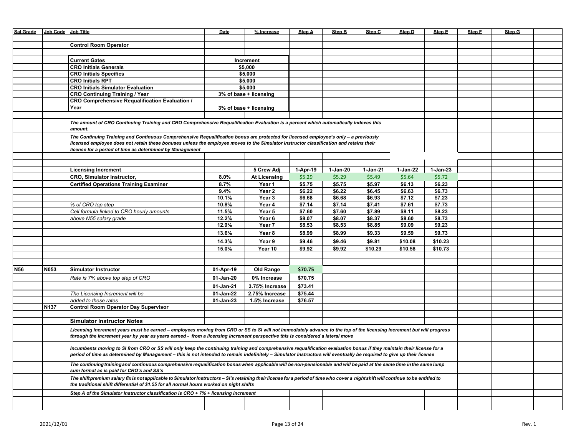| <b>Sal Grade</b> | Job Code Job Title |                                                                                                                                                                                                                                                                                | Date      | % Increase             | Step A   | <b>Step B</b> | Step C   | Step D   | Step E   | Step F | Step G |  |
|------------------|--------------------|--------------------------------------------------------------------------------------------------------------------------------------------------------------------------------------------------------------------------------------------------------------------------------|-----------|------------------------|----------|---------------|----------|----------|----------|--------|--------|--|
|                  |                    |                                                                                                                                                                                                                                                                                |           |                        |          |               |          |          |          |        |        |  |
|                  |                    | <b>Control Room Operator</b>                                                                                                                                                                                                                                                   |           |                        |          |               |          |          |          |        |        |  |
|                  |                    |                                                                                                                                                                                                                                                                                |           |                        |          |               |          |          |          |        |        |  |
|                  |                    | <b>Current Gates</b>                                                                                                                                                                                                                                                           |           | Increment              |          |               |          |          |          |        |        |  |
|                  |                    | <b>CRO Initials Generals</b>                                                                                                                                                                                                                                                   |           | \$5,000                |          |               |          |          |          |        |        |  |
|                  |                    | <b>CRO Initials Specifics</b>                                                                                                                                                                                                                                                  |           | \$5,000                |          |               |          |          |          |        |        |  |
|                  |                    | <b>CRO Initials RPT</b>                                                                                                                                                                                                                                                        |           | \$5,000                |          |               |          |          |          |        |        |  |
|                  |                    | <b>CRO Initials Simulator Evaluation</b>                                                                                                                                                                                                                                       |           | \$5,000                |          |               |          |          |          |        |        |  |
|                  |                    | <b>CRO Continuing Training / Year</b>                                                                                                                                                                                                                                          |           | 3% of base + licensing |          |               |          |          |          |        |        |  |
|                  |                    | <b>CRO Comprehensive Requalification Evaluation /</b>                                                                                                                                                                                                                          |           |                        |          |               |          |          |          |        |        |  |
|                  |                    | Year                                                                                                                                                                                                                                                                           |           | 3% of base + licensing |          |               |          |          |          |        |        |  |
|                  |                    |                                                                                                                                                                                                                                                                                |           |                        |          |               |          |          |          |        |        |  |
|                  |                    | The amount of CRO Continuing Training and CRO Comprehensive Requalification Evaluation is a percent which automatically indexes this                                                                                                                                           |           |                        |          |               |          |          |          |        |        |  |
|                  |                    | amount.                                                                                                                                                                                                                                                                        |           |                        |          |               |          |          |          |        |        |  |
|                  |                    |                                                                                                                                                                                                                                                                                |           |                        |          |               |          |          |          |        |        |  |
|                  |                    | The Continuing Training and Continuous Comprehensive Requalification bonus are protected for licensed employee's only - a previously<br>licensed employee does not retain these bonuses unless the employee moves to the Simulator Instructor classification and retains their |           |                        |          |               |          |          |          |        |        |  |
|                  |                    | license for a period of time as determined by Management                                                                                                                                                                                                                       |           |                        |          |               |          |          |          |        |        |  |
|                  |                    |                                                                                                                                                                                                                                                                                |           |                        |          |               |          |          |          |        |        |  |
|                  |                    |                                                                                                                                                                                                                                                                                |           |                        |          |               |          |          |          |        |        |  |
|                  |                    | <b>Licensing Increment</b>                                                                                                                                                                                                                                                     |           | 5 Crew Adj             | 1-Apr-19 | 1-Jan-20      | 1-Jan-21 | 1-Jan-22 | 1-Jan-23 |        |        |  |
|                  |                    | <b>CRO, Simulator Instructor,</b>                                                                                                                                                                                                                                              | $8.0\%$   | <b>At Licensing</b>    | \$5.29   | \$5.29        | \$5.49   | \$5.64   | \$5.72   |        |        |  |
|                  |                    | <b>Certified Operations Training Examiner</b>                                                                                                                                                                                                                                  | 8.7%      | Year 1                 | \$5.75   | \$5.75        | \$5.97   | \$6.13   | \$6.23   |        |        |  |
|                  |                    |                                                                                                                                                                                                                                                                                | 9.4%      | Year 2                 | \$6.22   | \$6.22        | \$6.45   | \$6.63   | \$6.73   |        |        |  |
|                  |                    |                                                                                                                                                                                                                                                                                | 10.1%     | Year 3                 | \$6.68   | \$6.68        | \$6.93   | \$7.12   | \$7.23   |        |        |  |
|                  |                    | % of CRO top step                                                                                                                                                                                                                                                              | 10.8%     | Year 4                 | \$7.14   | \$7.14        | \$7.41   | \$7.61   | \$7.73   |        |        |  |
|                  |                    | Cell formula linked to CRO hourly amounts                                                                                                                                                                                                                                      | 11.5%     | Year 5                 | \$7.60   | \$7.60        | \$7.89   | \$8.11   | \$8.23   |        |        |  |
|                  |                    | above N55 salary grade                                                                                                                                                                                                                                                         | 12.2%     | Year 6                 | \$8.07   | \$8.07        | \$8.37   | \$8.60   | \$8.73   |        |        |  |
|                  |                    |                                                                                                                                                                                                                                                                                | 12.9%     | Year 7                 | \$8.53   | \$8.53        | \$8.85   | \$9.09   | \$9.23   |        |        |  |
|                  |                    |                                                                                                                                                                                                                                                                                |           |                        |          |               |          |          |          |        |        |  |
|                  |                    |                                                                                                                                                                                                                                                                                | 13.6%     | Year 8                 | \$8.99   | \$8.99        | \$9.33   | \$9.59   | \$9.73   |        |        |  |
|                  |                    |                                                                                                                                                                                                                                                                                | 14.3%     | Year 9                 | \$9.46   | \$9.46        | \$9.81   | \$10.08  | \$10.23  |        |        |  |
|                  |                    |                                                                                                                                                                                                                                                                                | 15.0%     | Year 10                | \$9.92   | \$9.92        | \$10.29  | \$10.58  | \$10.73  |        |        |  |
|                  |                    |                                                                                                                                                                                                                                                                                |           |                        |          |               |          |          |          |        |        |  |
|                  |                    |                                                                                                                                                                                                                                                                                |           |                        |          |               |          |          |          |        |        |  |
| N <sub>56</sub>  | N053               | <b>Simulator Instructor</b>                                                                                                                                                                                                                                                    | 01-Apr-19 | Old Range              | \$70.75  |               |          |          |          |        |        |  |
|                  |                    | Rate is 7% above top step of CRO                                                                                                                                                                                                                                               | 01-Jan-20 | 0% Increase            | \$70.75  |               |          |          |          |        |        |  |
|                  |                    |                                                                                                                                                                                                                                                                                | 01-Jan-21 | 3.75% Increase         | \$73.41  |               |          |          |          |        |        |  |
|                  |                    | The Licensing Increment will be                                                                                                                                                                                                                                                | 01-Jan-22 | 2.75% Increase         | \$75.44  |               |          |          |          |        |        |  |
|                  |                    | added to these rates                                                                                                                                                                                                                                                           | 01-Jan-23 | 1.5% Increase          | \$76.57  |               |          |          |          |        |        |  |
|                  | N <sub>137</sub>   | <b>Control Room Operator Day Supervisor</b>                                                                                                                                                                                                                                    |           |                        |          |               |          |          |          |        |        |  |
|                  |                    |                                                                                                                                                                                                                                                                                |           |                        |          |               |          |          |          |        |        |  |
|                  |                    | <b>Simulator Instructor Notes</b>                                                                                                                                                                                                                                              |           |                        |          |               |          |          |          |        |        |  |
|                  |                    |                                                                                                                                                                                                                                                                                |           |                        |          |               |          |          |          |        |        |  |
|                  |                    | Licensing increment years must be earned – employees moving from CRO or SS to SI will not immediately advance to the top of the licensing increment but will progress                                                                                                          |           |                        |          |               |          |          |          |        |        |  |
|                  |                    | through the increment year by year as years earned - from a licensing increment perspective this is considered a lateral move                                                                                                                                                  |           |                        |          |               |          |          |          |        |        |  |
|                  |                    | Incumbents moving to SI from CRO or SS will only keep the continuing training and comprehensive requalification evaluation bonus if they maintain their license for a                                                                                                          |           |                        |          |               |          |          |          |        |        |  |
|                  |                    | period of time as determined by Management - this is not intended to remain indefinitely - Simulator Instructors will eventually be required to give up their license                                                                                                          |           |                        |          |               |          |          |          |        |        |  |
|                  |                    |                                                                                                                                                                                                                                                                                |           |                        |          |               |          |          |          |        |        |  |
|                  |                    | The continuing training and continuous comprehensive regualification bonus when applicable will be non-pensionable and will be paid at the same time in the same lump                                                                                                          |           |                        |          |               |          |          |          |        |        |  |
|                  |                    | sum format as is paid for CRO's and SS's                                                                                                                                                                                                                                       |           |                        |          |               |          |          |          |        |        |  |
|                  |                    | The shift premium salary fix is not applicable to Simulator Instructors - SI's retaining their license for a period of time who cover a night shift will continue to be entitled to                                                                                            |           |                        |          |               |          |          |          |        |        |  |
|                  |                    | the traditional shift differential of \$1.55 for all normal hours worked on night shifts                                                                                                                                                                                       |           |                        |          |               |          |          |          |        |        |  |
|                  |                    | Step A of the Simulator Instructor classification is CRO + 7% + licensing increment                                                                                                                                                                                            |           |                        |          |               |          |          |          |        |        |  |
|                  |                    |                                                                                                                                                                                                                                                                                |           |                        |          |               |          |          |          |        |        |  |
|                  |                    |                                                                                                                                                                                                                                                                                |           |                        |          |               |          |          |          |        |        |  |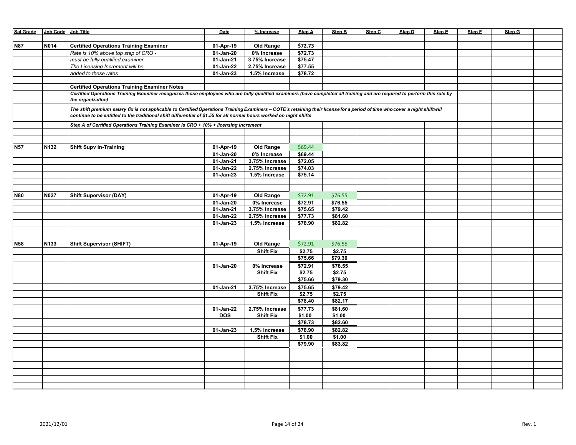| Sal Grade Job Code Job Title |             |                                                                                                                                                                                                                                                                                                     | Date                     | % Increase                      | Step A             | <b>Step B</b> | Step C | Step D | Step E | Step F | Step G |  |
|------------------------------|-------------|-----------------------------------------------------------------------------------------------------------------------------------------------------------------------------------------------------------------------------------------------------------------------------------------------------|--------------------------|---------------------------------|--------------------|---------------|--------|--------|--------|--------|--------|--|
|                              |             |                                                                                                                                                                                                                                                                                                     |                          |                                 |                    |               |        |        |        |        |        |  |
| N87                          | <b>N014</b> | <b>Certified Operations Training Examiner</b>                                                                                                                                                                                                                                                       | 01-Apr-19                | <b>Old Range</b>                | \$72.73            |               |        |        |        |        |        |  |
|                              |             | Rate is 10% above top step of CRO -                                                                                                                                                                                                                                                                 | 01-Jan-20                | 0% Increase                     | \$72.73            |               |        |        |        |        |        |  |
|                              |             | must be fully qualified examiner                                                                                                                                                                                                                                                                    | 01-Jan-21                | 3.75% Increase                  | \$75.47            |               |        |        |        |        |        |  |
|                              |             | The Licensing Increment will be                                                                                                                                                                                                                                                                     | 01-Jan-22                | 2.75% Increase                  | \$77.55            |               |        |        |        |        |        |  |
|                              |             | added to these rates                                                                                                                                                                                                                                                                                | 01-Jan-23                | 1.5% Increase                   | \$78.72            |               |        |        |        |        |        |  |
|                              |             |                                                                                                                                                                                                                                                                                                     |                          |                                 |                    |               |        |        |        |        |        |  |
|                              |             | <b>Certified Operations Training Examiner Notes</b>                                                                                                                                                                                                                                                 |                          |                                 |                    |               |        |        |        |        |        |  |
|                              |             | Certified Operations Training Examiner recognizes those employees who are fully qualified examiners (have completed all training and are required to perform this role by                                                                                                                           |                          |                                 |                    |               |        |        |        |        |        |  |
|                              |             | the organization)                                                                                                                                                                                                                                                                                   |                          |                                 |                    |               |        |        |        |        |        |  |
|                              |             | The shift premium salary fix is not applicable to Certified Operations Training Examiners - COTE's retaining their license for a period of time who cover a night shift will<br>continue to be entitled to the traditional shift differential of \$1.55 for all normal hours worked on night shifts |                          |                                 |                    |               |        |        |        |        |        |  |
|                              |             | Step A of Certified Operations Training Examiner is CRO + 10% + licensing increment                                                                                                                                                                                                                 |                          |                                 |                    |               |        |        |        |        |        |  |
|                              |             |                                                                                                                                                                                                                                                                                                     |                          |                                 |                    |               |        |        |        |        |        |  |
|                              |             |                                                                                                                                                                                                                                                                                                     |                          |                                 |                    |               |        |        |        |        |        |  |
| N57                          | N132        |                                                                                                                                                                                                                                                                                                     |                          |                                 | \$69.44            |               |        |        |        |        |        |  |
|                              |             | <b>Shift Supv In-Training</b>                                                                                                                                                                                                                                                                       | 01-Apr-19                | Old Range                       |                    |               |        |        |        |        |        |  |
|                              |             |                                                                                                                                                                                                                                                                                                     | 01-Jan-20                | 0% Increase                     | \$69.44            |               |        |        |        |        |        |  |
|                              |             |                                                                                                                                                                                                                                                                                                     | 01-Jan-21                | 3.75% Increase                  | \$72.05            |               |        |        |        |        |        |  |
|                              |             |                                                                                                                                                                                                                                                                                                     | 01-Jan-22<br>$01-Jan-23$ | 2.75% Increase<br>1.5% Increase | \$74.03<br>\$75.14 |               |        |        |        |        |        |  |
|                              |             |                                                                                                                                                                                                                                                                                                     |                          |                                 |                    |               |        |        |        |        |        |  |
|                              |             |                                                                                                                                                                                                                                                                                                     |                          |                                 |                    |               |        |        |        |        |        |  |
| <b>N80</b>                   | N027        |                                                                                                                                                                                                                                                                                                     |                          | <b>Old Range</b>                |                    | \$76.55       |        |        |        |        |        |  |
|                              |             | <b>Shift Supervisor (DAY)</b>                                                                                                                                                                                                                                                                       | 01-Apr-19                |                                 | \$72.91            |               |        |        |        |        |        |  |
|                              |             |                                                                                                                                                                                                                                                                                                     | 01-Jan-20                | 0% Increase                     | \$72.91            | \$76.55       |        |        |        |        |        |  |
|                              |             |                                                                                                                                                                                                                                                                                                     | 01-Jan-21                | 3.75% Increase                  | \$75.65            | \$79.42       |        |        |        |        |        |  |
|                              |             |                                                                                                                                                                                                                                                                                                     | 01-Jan-22                | 2.75% Increase<br>1.5% Increase | \$77.73            | \$81.60       |        |        |        |        |        |  |
|                              |             |                                                                                                                                                                                                                                                                                                     | 01-Jan-23                |                                 | \$78.90            | \$82.82       |        |        |        |        |        |  |
|                              |             |                                                                                                                                                                                                                                                                                                     |                          |                                 |                    |               |        |        |        |        |        |  |
|                              |             |                                                                                                                                                                                                                                                                                                     |                          |                                 |                    |               |        |        |        |        |        |  |
| N <sub>58</sub>              | N133        | <b>Shift Supervisor (SHIFT)</b>                                                                                                                                                                                                                                                                     | 01-Apr-19                | <b>Old Range</b>                | \$72.91            | \$76.55       |        |        |        |        |        |  |
|                              |             |                                                                                                                                                                                                                                                                                                     |                          | <b>Shift Fix</b>                | \$2.75             | \$2.75        |        |        |        |        |        |  |
|                              |             |                                                                                                                                                                                                                                                                                                     |                          |                                 | \$75.66            | \$79.30       |        |        |        |        |        |  |
|                              |             |                                                                                                                                                                                                                                                                                                     | 01-Jan-20                | 0% Increase                     | \$72.91            | \$76.55       |        |        |        |        |        |  |
|                              |             |                                                                                                                                                                                                                                                                                                     |                          | <b>Shift Fix</b>                | \$2.75             | \$2.75        |        |        |        |        |        |  |
|                              |             |                                                                                                                                                                                                                                                                                                     |                          |                                 | \$75.66            | \$79.30       |        |        |        |        |        |  |
|                              |             |                                                                                                                                                                                                                                                                                                     | 01-Jan-21                | 3.75% Increase                  | \$75.65            | \$79.42       |        |        |        |        |        |  |
|                              |             |                                                                                                                                                                                                                                                                                                     |                          | <b>Shift Fix</b>                | \$2.75             | \$2.75        |        |        |        |        |        |  |
|                              |             |                                                                                                                                                                                                                                                                                                     |                          |                                 | \$78.40            | \$82.17       |        |        |        |        |        |  |
|                              |             |                                                                                                                                                                                                                                                                                                     | 01-Jan-22                | 2.75% Increase                  | \$77.73            | \$81.60       |        |        |        |        |        |  |
|                              |             |                                                                                                                                                                                                                                                                                                     | <b>DOS</b>               | <b>Shift Fix</b>                | \$1.00             | \$1.00        |        |        |        |        |        |  |
|                              |             |                                                                                                                                                                                                                                                                                                     |                          |                                 | \$78.73            | \$82.60       |        |        |        |        |        |  |
|                              |             |                                                                                                                                                                                                                                                                                                     | 01-Jan-23                | 1.5% Increase                   | \$78.90            | \$82.82       |        |        |        |        |        |  |
|                              |             |                                                                                                                                                                                                                                                                                                     |                          | <b>Shift Fix</b>                | \$1.00             | \$1.00        |        |        |        |        |        |  |
|                              |             |                                                                                                                                                                                                                                                                                                     |                          |                                 | \$79.90            | \$83.82       |        |        |        |        |        |  |
|                              |             |                                                                                                                                                                                                                                                                                                     |                          |                                 |                    |               |        |        |        |        |        |  |
|                              |             |                                                                                                                                                                                                                                                                                                     |                          |                                 |                    |               |        |        |        |        |        |  |
|                              |             |                                                                                                                                                                                                                                                                                                     |                          |                                 |                    |               |        |        |        |        |        |  |
|                              |             |                                                                                                                                                                                                                                                                                                     |                          |                                 |                    |               |        |        |        |        |        |  |
|                              |             |                                                                                                                                                                                                                                                                                                     |                          |                                 |                    |               |        |        |        |        |        |  |
|                              |             |                                                                                                                                                                                                                                                                                                     |                          |                                 |                    |               |        |        |        |        |        |  |
|                              |             |                                                                                                                                                                                                                                                                                                     |                          |                                 |                    |               |        |        |        |        |        |  |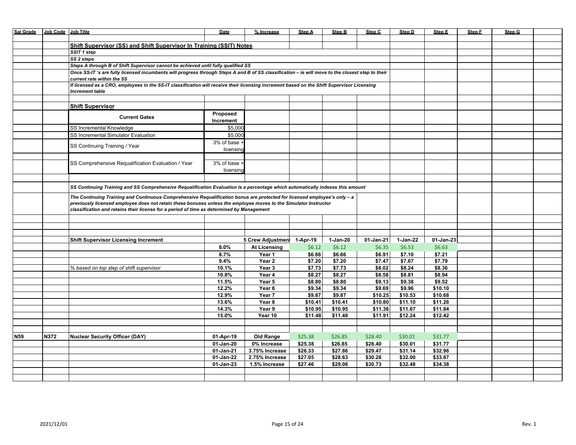| <b>Sal Grade</b> | Job Code Job Title |                                                                                                                                                                      | Date                                                                | % Increase          | Step A   | <b>Step B</b> | Step C    | Step D   | Step E    | Step F | Step G |  |
|------------------|--------------------|----------------------------------------------------------------------------------------------------------------------------------------------------------------------|---------------------------------------------------------------------|---------------------|----------|---------------|-----------|----------|-----------|--------|--------|--|
|                  |                    |                                                                                                                                                                      |                                                                     |                     |          |               |           |          |           |        |        |  |
|                  |                    |                                                                                                                                                                      | Shift Supervisor (SS) and Shift Supervisor In Training (SSIT) Notes |                     |          |               |           |          |           |        |        |  |
|                  |                    | SSIT 1 step                                                                                                                                                          |                                                                     |                     |          |               |           |          |           |        |        |  |
|                  |                    | SS 2 steps                                                                                                                                                           |                                                                     |                     |          |               |           |          |           |        |        |  |
|                  |                    | Steps A through B of Shift Supervisor cannot be achieved until fully qualified SS                                                                                    |                                                                     |                     |          |               |           |          |           |        |        |  |
|                  |                    |                                                                                                                                                                      |                                                                     |                     |          |               |           |          |           |        |        |  |
|                  |                    | Once SS-IT 's are fully licensed incumbents will progress through Steps A and B of SS classification - ie will move to the closest step to their                     |                                                                     |                     |          |               |           |          |           |        |        |  |
|                  |                    | current rate within the SS                                                                                                                                           |                                                                     |                     |          |               |           |          |           |        |        |  |
|                  |                    | If licensed as a CRO, employees in the SS-IT classification will receive their licensing increment based on the Shift Supervisor Licensing<br><b>Increment table</b> |                                                                     |                     |          |               |           |          |           |        |        |  |
|                  |                    |                                                                                                                                                                      |                                                                     |                     |          |               |           |          |           |        |        |  |
|                  |                    | <b>Shift Supervisor</b>                                                                                                                                              |                                                                     |                     |          |               |           |          |           |        |        |  |
|                  |                    |                                                                                                                                                                      | Proposed                                                            |                     |          |               |           |          |           |        |        |  |
|                  |                    | <b>Current Gates</b>                                                                                                                                                 | Increment                                                           |                     |          |               |           |          |           |        |        |  |
|                  |                    | SS Incremental Knowledge                                                                                                                                             | \$5,000                                                             |                     |          |               |           |          |           |        |        |  |
|                  |                    |                                                                                                                                                                      |                                                                     |                     |          |               |           |          |           |        |        |  |
|                  |                    | SS Incremental Simulator Evaluation                                                                                                                                  | \$5,000                                                             |                     |          |               |           |          |           |        |        |  |
|                  |                    | SS Continuing Training / Year                                                                                                                                        | 3% of base +                                                        |                     |          |               |           |          |           |        |        |  |
|                  |                    |                                                                                                                                                                      | licensing                                                           |                     |          |               |           |          |           |        |        |  |
|                  |                    |                                                                                                                                                                      |                                                                     |                     |          |               |           |          |           |        |        |  |
|                  |                    | SS Comprehensive Requalification Evaluation / Year                                                                                                                   | $\overline{3\%}$ of base +                                          |                     |          |               |           |          |           |        |        |  |
|                  |                    |                                                                                                                                                                      | licensin                                                            |                     |          |               |           |          |           |        |        |  |
|                  |                    |                                                                                                                                                                      |                                                                     |                     |          |               |           |          |           |        |        |  |
|                  |                    |                                                                                                                                                                      |                                                                     |                     |          |               |           |          |           |        |        |  |
|                  |                    | SS Continuing Training and SS Comprehensive Requalification Evaluation is a percentage which automatically indexes this amount                                       |                                                                     |                     |          |               |           |          |           |        |        |  |
|                  |                    | The Continuing Training and Continuous Comprehensive Requalification bonus are protected for licensed employee's only - a                                            |                                                                     |                     |          |               |           |          |           |        |        |  |
|                  |                    | previously licensed employee does not retain these bonuses unless the employee moves to the Simulator Instructor                                                     |                                                                     |                     |          |               |           |          |           |        |        |  |
|                  |                    | classification and retains their license for a period of time as determined by Management                                                                            |                                                                     |                     |          |               |           |          |           |        |        |  |
|                  |                    |                                                                                                                                                                      |                                                                     |                     |          |               |           |          |           |        |        |  |
|                  |                    |                                                                                                                                                                      |                                                                     |                     |          |               |           |          |           |        |        |  |
|                  |                    |                                                                                                                                                                      |                                                                     |                     |          |               |           |          |           |        |        |  |
|                  |                    |                                                                                                                                                                      |                                                                     |                     |          |               |           |          |           |        |        |  |
|                  |                    | <b>Shift Supervisor Licensing Increment</b>                                                                                                                          |                                                                     | 5 Crew Adjustmen    | 1-Apr-19 | 1-Jan-20      | 01-Jan-21 | 1-Jan-22 | 01-Jan-23 |        |        |  |
|                  |                    |                                                                                                                                                                      | 8.0%                                                                | <b>At Licensing</b> | \$6.12   | \$6.12        | \$6.35    | \$6.53   | \$6.63    |        |        |  |
|                  |                    |                                                                                                                                                                      | 8.7%                                                                | Year 1              | \$6.66   | \$6.66        | \$6.91    | \$7.10   | \$7.21    |        |        |  |
|                  |                    |                                                                                                                                                                      | 9.4%                                                                | Year 2              | \$7.20   | \$7.20        | \$7.47    | \$7.67   | \$7.79    |        |        |  |
|                  |                    | % based on top step of shift supervisor                                                                                                                              | 10.1%                                                               | Year 3              | \$7.73   | \$7.73        | \$8.02    | \$8.24   | \$8.36    |        |        |  |
|                  |                    |                                                                                                                                                                      | 10.8%                                                               | Year 4              | \$8.27   | \$8.27        | \$8.58    | \$8.81   | \$8.94    |        |        |  |
|                  |                    |                                                                                                                                                                      | 11.5%                                                               | Year 5              | \$8.80   | \$8.80        | \$9.13    | \$9.38   | \$9.52    |        |        |  |
|                  |                    |                                                                                                                                                                      | 12.2%                                                               | Year 6              | \$9.34   | \$9.34        | \$9.69    | \$9.96   | \$10.10   |        |        |  |
|                  |                    |                                                                                                                                                                      | 12.9%                                                               | Year 7              | \$9.87   | \$9.87        | \$10.25   | \$10.53  | \$10.68   |        |        |  |
|                  |                    |                                                                                                                                                                      |                                                                     |                     | \$10.41  |               |           | \$11.10  | \$11.26   |        |        |  |
|                  |                    |                                                                                                                                                                      | 13.6%                                                               | Year 8              |          | \$10.41       | \$10.80   |          |           |        |        |  |
|                  |                    |                                                                                                                                                                      | 14.3%                                                               | Year 9              | \$10.95  | \$10.95       | \$11.36   | \$11.67  | \$11.84   |        |        |  |
|                  |                    |                                                                                                                                                                      | 15.0%                                                               | Year 10             | \$11.48  | \$11.48       | \$11.91   | \$12.24  | \$12.42   |        |        |  |
|                  |                    |                                                                                                                                                                      |                                                                     |                     |          |               |           |          |           |        |        |  |
|                  |                    |                                                                                                                                                                      |                                                                     |                     |          |               |           |          |           |        |        |  |
| N <sub>59</sub>  | N372               | <b>Nuclear Security Officer (DAY)</b>                                                                                                                                | 01-Apr-19                                                           | <b>Old Range</b>    | \$25.38  | \$26.85       | \$28.40   | \$30.01  | \$31.77   |        |        |  |
|                  |                    |                                                                                                                                                                      | 01-Jan-20                                                           | 0% Increase         | \$25.38  | \$26.85       | \$28.40   | \$30.01  | \$31.77   |        |        |  |
|                  |                    |                                                                                                                                                                      | 01-Jan-21                                                           | 3.75% Increase      | \$26.33  | \$27.86       | \$29.47   | \$31.14  | \$32.96   |        |        |  |
|                  |                    |                                                                                                                                                                      | 01-Jan-22                                                           | 2.75% Increase      | \$27.05  | \$28.63       | \$30.28   | \$32.00  | \$33.87   |        |        |  |
|                  |                    |                                                                                                                                                                      | 01-Jan-23                                                           | 1.5% Increase       | \$27.46  | \$29.06       | \$30.73   | \$32.48  | \$34.38   |        |        |  |
|                  |                    |                                                                                                                                                                      |                                                                     |                     |          |               |           |          |           |        |        |  |
|                  |                    |                                                                                                                                                                      |                                                                     |                     |          |               |           |          |           |        |        |  |
|                  |                    |                                                                                                                                                                      |                                                                     |                     |          |               |           |          |           |        |        |  |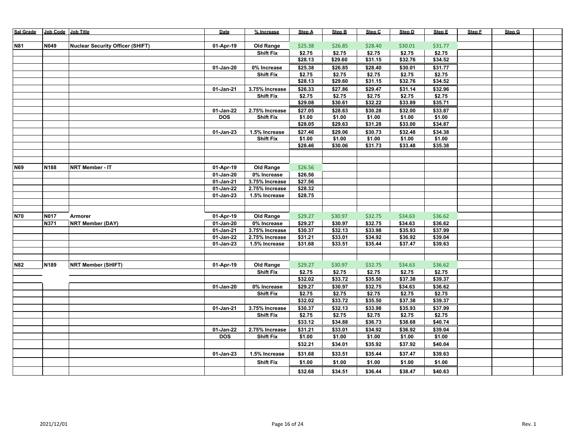| Sal Grade  | Job Code Job Title |                                         | Date            | % Increase       | <b>Step A</b> | <b>Step B</b> | Step C  | Step D  | Step E  | Step F | Step G |  |
|------------|--------------------|-----------------------------------------|-----------------|------------------|---------------|---------------|---------|---------|---------|--------|--------|--|
|            |                    |                                         |                 |                  |               |               |         |         |         |        |        |  |
| <b>N81</b> | N049               | <b>Nuclear Security Officer (SHIFT)</b> | 01-Apr-19       | <b>Old Range</b> | \$25.38       | \$26.85       | \$28.40 | \$30.01 | \$31.77 |        |        |  |
|            |                    |                                         |                 | <b>Shift Fix</b> | \$2.75        | \$2.75        | \$2.75  | \$2.75  | \$2.75  |        |        |  |
|            |                    |                                         |                 |                  | \$28.13       | \$29.60       | \$31.15 | \$32.76 | \$34.52 |        |        |  |
|            |                    |                                         | 01-Jan-20       | 0% Increase      | \$25.38       | \$26.85       | \$28.40 | \$30.01 | \$31.77 |        |        |  |
|            |                    |                                         |                 | <b>Shift Fix</b> | \$2.75        | \$2.75        | \$2.75  | \$2.75  | \$2.75  |        |        |  |
|            |                    |                                         |                 |                  | \$28.13       | \$29.60       | \$31.15 | \$32.76 | \$34.52 |        |        |  |
|            |                    |                                         | 01-Jan-21       | 3.75% Increase   | \$26.33       | \$27.86       | \$29.47 | \$31.14 | \$32.96 |        |        |  |
|            |                    |                                         |                 | <b>Shift Fix</b> | \$2.75        | \$2.75        | \$2.75  | \$2.75  | \$2.75  |        |        |  |
|            |                    |                                         |                 |                  | \$29.08       | \$30.61       | \$32.22 | \$33.89 | \$35.71 |        |        |  |
|            |                    |                                         | 01-Jan-22       | 2.75% Increase   | \$27.05       | \$28.63       | \$30.28 | \$32.00 | \$33.87 |        |        |  |
|            |                    |                                         | <b>DOS</b>      | <b>Shift Fix</b> | \$1.00        | \$1.00        | \$1.00  | \$1.00  | \$1.00  |        |        |  |
|            |                    |                                         |                 |                  | \$28.05       | \$29.63       | \$31.28 | \$33.00 | \$34.87 |        |        |  |
|            |                    |                                         | $01 - Jan - 23$ | 1.5% Increase    | \$27.46       | \$29.06       | \$30.73 | \$32.48 | \$34.38 |        |        |  |
|            |                    |                                         |                 | <b>Shift Fix</b> | \$1.00        | \$1.00        | \$1.00  | \$1.00  | \$1.00  |        |        |  |
|            |                    |                                         |                 |                  | \$28.46       | \$30.06       | \$31.73 | \$33.48 | \$35.38 |        |        |  |
|            |                    |                                         |                 |                  |               |               |         |         |         |        |        |  |
|            |                    |                                         |                 |                  |               |               |         |         |         |        |        |  |
| <b>N69</b> | N188               | <b>NRT Member - IT</b>                  | 01-Apr-19       | <b>Old Range</b> | \$26.56       |               |         |         |         |        |        |  |
|            |                    |                                         | 01-Jan-20       | 0% Increase      | \$26.56       |               |         |         |         |        |        |  |
|            |                    |                                         | 01-Jan-21       | 3.75% Increase   | \$27.56       |               |         |         |         |        |        |  |
|            |                    |                                         | 01-Jan-22       | 2.75% Increase   | \$28.32       |               |         |         |         |        |        |  |
|            |                    |                                         | $01-Jan-23$     | 1.5% Increase    | \$28.75       |               |         |         |         |        |        |  |
|            |                    |                                         |                 |                  |               |               |         |         |         |        |        |  |
|            |                    |                                         |                 |                  |               |               |         |         |         |        |        |  |
| <b>N70</b> | <b>N017</b>        | Armorer                                 | 01-Apr-19       | Old Range        | \$29.27       | \$30.97       | \$32.75 | \$34.63 | \$36.62 |        |        |  |
|            | N371               | <b>NRT Member (DAY)</b>                 | $01$ -Jan-20    | 0% Increase      | \$29.27       | \$30.97       | \$32.75 | \$34.63 | \$36.62 |        |        |  |
|            |                    |                                         | 01-Jan-21       | 3.75% Increase   | \$30.37       | \$32.13       | \$33.98 | \$35.93 | \$37.99 |        |        |  |
|            |                    |                                         | 01-Jan-22       | 2.75% Increase   | \$31.21       | \$33.01       | \$34.92 | \$36.92 | \$39.04 |        |        |  |
|            |                    |                                         | 01-Jan-23       | 1.5% Increase    | \$31.68       | \$33.51       | \$35.44 | \$37.47 | \$39.63 |        |        |  |
|            |                    |                                         |                 |                  |               |               |         |         |         |        |        |  |
| <b>N82</b> | N189               | <b>NRT Member (SHIFT)</b>               | 01-Apr-19       | <b>Old Range</b> | \$29.27       | \$30.97       | \$32.75 | \$34.63 | \$36.62 |        |        |  |
|            |                    |                                         |                 | <b>Shift Fix</b> | \$2.75        | \$2.75        | \$2.75  | \$2.75  | \$2.75  |        |        |  |
|            |                    |                                         |                 |                  | \$32.02       | \$33.72       | \$35.50 | \$37.38 | \$39.37 |        |        |  |
|            |                    |                                         | 01-Jan-20       | 0% Increase      | \$29.27       | \$30.97       | \$32.75 | \$34.63 | \$36.62 |        |        |  |
|            |                    |                                         |                 | <b>Shift Fix</b> | \$2.75        | \$2.75        | \$2.75  | \$2.75  | \$2.75  |        |        |  |
|            |                    |                                         |                 |                  | \$32.02       | \$33.72       | \$35.50 | \$37.38 | \$39.37 |        |        |  |
|            |                    |                                         |                 | 3.75% Increase   | \$30.37       | \$32.13       | \$33.98 | \$35.93 | \$37.99 |        |        |  |
|            |                    |                                         | 01-Jan-21       | <b>Shift Fix</b> | \$2.75        | \$2.75        | \$2.75  | \$2.75  | \$2.75  |        |        |  |
|            |                    |                                         |                 |                  | \$33.12       | \$34.88       | \$36.73 | \$38.68 | \$40.74 |        |        |  |
|            |                    |                                         | 01-Jan-22       | 2.75% Increase   | \$31.21       | \$33.01       | \$34.92 | \$36.92 | \$39.04 |        |        |  |
|            |                    |                                         | <b>DOS</b>      | <b>Shift Fix</b> | \$1.00        | \$1.00        | \$1.00  | \$1.00  | \$1.00  |        |        |  |
|            |                    |                                         |                 |                  | \$32.21       | \$34.01       | \$35.92 | \$37.92 | \$40.04 |        |        |  |
|            |                    |                                         |                 |                  |               |               |         |         |         |        |        |  |
|            |                    |                                         | 01-Jan-23       | 1.5% Increase    | \$31.68       | \$33.51       | \$35.44 | \$37.47 | \$39.63 |        |        |  |
|            |                    |                                         |                 | <b>Shift Fix</b> | \$1.00        | \$1.00        | \$1.00  | \$1.00  | \$1.00  |        |        |  |
|            |                    |                                         |                 |                  | \$32.68       | \$34.51       | \$36.44 | \$38.47 | \$40.63 |        |        |  |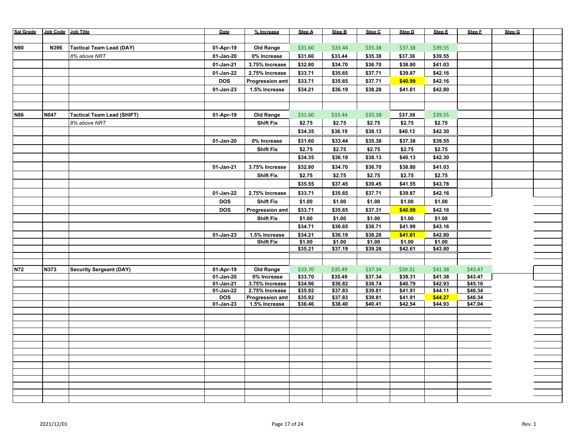| <b>Sal Grade</b> | Job Code Job Title |                                   | Date                   | % Increase                       | Step A             | <b>Step B</b>      | Step C             | Step D             | Step E             | Step F             | Step G |  |
|------------------|--------------------|-----------------------------------|------------------------|----------------------------------|--------------------|--------------------|--------------------|--------------------|--------------------|--------------------|--------|--|
|                  |                    |                                   |                        |                                  |                    |                    |                    |                    |                    |                    |        |  |
| <b>N90</b>       | N396               | <b>Tactical Team Lead (DAY)</b>   | 01-Apr-19              | <b>Old Range</b>                 | \$31.60            | \$33.44            | \$35.38            | \$37.38            | \$39.55            |                    |        |  |
|                  |                    | 8% above NRT                      | 01-Jan-20              | 0% Increase                      | \$31.60            | \$33.44            | \$35.38            | \$37.38            | \$39.55            |                    |        |  |
|                  |                    |                                   | 01-Jan-21              | 3.75% Increase                   | \$32.80            | \$34.70            | \$36.70            | \$38.80            | \$41.03            |                    |        |  |
|                  |                    |                                   | 01-Jan-22              | 2.75% Increase                   | \$33.71            | \$35.65            | \$37.71            | \$39.87            | \$42.16            |                    |        |  |
|                  |                    |                                   | <b>DOS</b>             | <b>Progression amt</b>           | \$33.71            | \$35.65            | \$37.71            | \$40.99            | \$42.16            |                    |        |  |
|                  |                    |                                   | $01-Jan-23$            | 1.5% Increase                    | \$34.21            | \$36.19            | \$38.28            | \$41.61            | \$42.80            |                    |        |  |
|                  |                    |                                   |                        |                                  |                    |                    |                    |                    |                    |                    |        |  |
|                  |                    |                                   |                        |                                  |                    |                    |                    |                    |                    |                    |        |  |
| <b>N86</b>       | <b>N047</b>        | <b>Tactical Team Lead (SHIFT)</b> | 01-Apr-19              | <b>Old Range</b>                 | \$31.60            | \$33.44            | \$35.38            | \$37.38            | \$39.55            |                    |        |  |
|                  |                    | 8% above NRT                      |                        | <b>Shift Fix</b>                 | \$2.75             | \$2.75             | \$2.75             | \$2.75             | \$2.75             |                    |        |  |
|                  |                    |                                   |                        |                                  | \$34.35            | \$36.19            | \$38.13            | \$40.13            | \$42.30            |                    |        |  |
|                  |                    |                                   | 01-Jan-20              | 0% Increase                      | \$31.60            | \$33.44            | \$35.38            | \$37.38            | \$39.55            |                    |        |  |
|                  |                    |                                   |                        | <b>Shift Fix</b>                 | \$2.75             | \$2.75             | \$2.75             | \$2.75             | \$2.75             |                    |        |  |
|                  |                    |                                   |                        |                                  | \$34.35            | \$36.19            | \$38.13            | \$40.13            | \$42.30            |                    |        |  |
|                  |                    |                                   | 01-Jan-21              | 3.75% Increase                   | \$32.80            | \$34.70            | \$36.70            | \$38.80            | \$41.03            |                    |        |  |
|                  |                    |                                   |                        | <b>Shift Fix</b>                 | \$2.75             | \$2.75             | \$2.75             | \$2.75             | \$2.75             |                    |        |  |
|                  |                    |                                   |                        |                                  |                    |                    |                    |                    |                    |                    |        |  |
|                  |                    |                                   |                        |                                  | \$35.55            | \$37.45            | \$39.45            | \$41.55            | \$43.78            |                    |        |  |
|                  |                    |                                   | 01-Jan-22              | 2.75% Increase                   | \$33.71            | \$35.65            | \$37.71            | \$39.87            | \$42.16            |                    |        |  |
|                  |                    |                                   | <b>DOS</b>             | <b>Shift Fix</b>                 | \$1.00             | \$1.00             | \$1.00             | \$1.00             | \$1.00             |                    |        |  |
|                  |                    |                                   | <b>DOS</b>             | <b>Progression amt</b>           | \$33.71            | \$35.65            | \$37.31            | \$40.99            | \$42.16            |                    |        |  |
|                  |                    |                                   |                        | <b>Shift Fix</b>                 | \$1.00             | \$1.00             | \$1.00             | \$1.00             | \$1.00             |                    |        |  |
|                  |                    |                                   |                        |                                  | \$34.71            | \$36.65            | \$38.71            | \$41.99            | \$43.16            |                    |        |  |
|                  |                    |                                   | 01-Jan-23              | 1.5% Increase                    | \$34.21            | \$36.19            | \$38.28            | \$41.61            | \$42.80            |                    |        |  |
|                  |                    |                                   |                        | <b>Shift Fix</b>                 | \$1.00<br>\$35.21  | \$1.00<br>\$37.19  | \$1.00<br>\$39.28  | \$1.00<br>\$42.61  | \$1.00<br>\$43.80  |                    |        |  |
|                  |                    |                                   |                        |                                  |                    |                    |                    |                    |                    |                    |        |  |
|                  |                    |                                   |                        |                                  |                    |                    |                    |                    |                    |                    |        |  |
| <b>N72</b>       | N373               | <b>Security Sergeant (DAY)</b>    | 01-Apr-19              | <b>Old Range</b>                 | \$33.70            | \$35.49            | \$37.34            | \$39.31            | \$41.38            | \$43.47            |        |  |
|                  |                    |                                   | 01-Jan-20              | 0% Increase                      | \$33.70            | \$35.49            | \$37.34            | \$39.31            | \$41.38            | \$43.47            |        |  |
|                  |                    |                                   | 01-Jan-21<br>01-Jan-22 | 3.75% Increase<br>2.75% Increase | \$34.96<br>\$35.92 | \$36.82<br>\$37.83 | \$38.74<br>\$39.81 | \$40.79<br>\$41.91 | \$42.93<br>\$44.11 | \$45.10<br>\$46.34 |        |  |
|                  |                    |                                   | <b>DOS</b>             | <b>Progression amt</b>           | \$35.92            | \$37.83            | \$39.81            | \$41.91            | \$44.27            | \$46.34            |        |  |
|                  |                    |                                   | 01-Jan-23              | 1.5% Increase                    | \$36.46            | \$38.40            | \$40.41            | \$42.54            | \$44.93            | \$47.04            |        |  |
|                  |                    |                                   |                        |                                  |                    |                    |                    |                    |                    |                    |        |  |
|                  |                    |                                   |                        |                                  |                    |                    |                    |                    |                    |                    |        |  |
|                  |                    |                                   |                        |                                  |                    |                    |                    |                    |                    |                    |        |  |
|                  |                    |                                   |                        |                                  |                    |                    |                    |                    |                    |                    |        |  |
|                  |                    |                                   |                        |                                  |                    |                    |                    |                    |                    |                    |        |  |
|                  |                    |                                   |                        |                                  |                    |                    |                    |                    |                    |                    |        |  |
|                  |                    |                                   |                        |                                  |                    |                    |                    |                    |                    |                    |        |  |
|                  |                    |                                   |                        |                                  |                    |                    |                    |                    |                    |                    |        |  |
|                  |                    |                                   |                        |                                  |                    |                    |                    |                    |                    |                    |        |  |
|                  |                    |                                   |                        |                                  |                    |                    |                    |                    |                    |                    |        |  |
|                  |                    |                                   |                        |                                  |                    |                    |                    |                    |                    |                    |        |  |
|                  |                    |                                   |                        |                                  |                    |                    |                    |                    |                    |                    |        |  |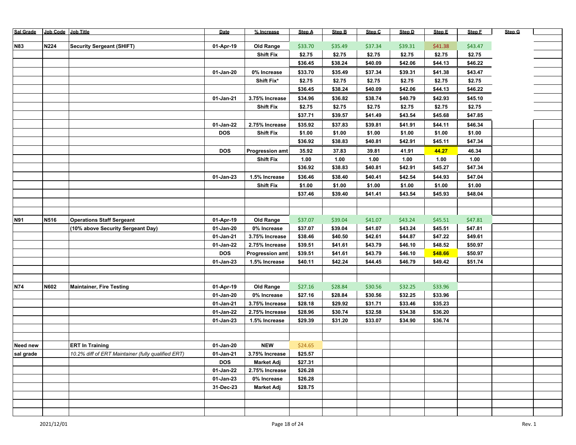| <b>Sal Grade</b> | Job Code Job Title |                                                    | Date       | % Increase             | Step A  | <b>Step B</b> | Step C  | Step D  | Step E  | Step F  | Step G |  |
|------------------|--------------------|----------------------------------------------------|------------|------------------------|---------|---------------|---------|---------|---------|---------|--------|--|
|                  |                    |                                                    |            |                        |         |               |         |         |         |         |        |  |
| <b>N83</b>       | <b>N224</b>        | <b>Security Sergeant (SHIFT)</b>                   | 01-Apr-19  | <b>Old Range</b>       | \$33.70 | \$35.49       | \$37.34 | \$39.31 | \$41.38 | \$43.47 |        |  |
|                  |                    |                                                    |            | <b>Shift Fix</b>       | \$2.75  | \$2.75        | \$2.75  | \$2.75  | \$2.75  | \$2.75  |        |  |
|                  |                    |                                                    |            |                        | \$36.45 | \$38.24       | \$40.09 | \$42.06 | \$44.13 | \$46.22 |        |  |
|                  |                    |                                                    | 01-Jan-20  | 0% Increase            | \$33.70 | \$35.49       | \$37.34 | \$39.31 | \$41.38 | \$43.47 |        |  |
|                  |                    |                                                    |            | Shift Fix*             | \$2.75  | \$2.75        | \$2.75  | \$2.75  | \$2.75  | \$2.75  |        |  |
|                  |                    |                                                    |            |                        | \$36.45 | \$38.24       | \$40.09 | \$42.06 | \$44.13 | \$46.22 |        |  |
|                  |                    |                                                    | 01-Jan-21  | 3.75% Increase         | \$34.96 | \$36.82       | \$38.74 | \$40.79 | \$42.93 | \$45.10 |        |  |
|                  |                    |                                                    |            | <b>Shift Fix</b>       | \$2.75  | \$2.75        | \$2.75  | \$2.75  | \$2.75  | \$2.75  |        |  |
|                  |                    |                                                    |            |                        | \$37.71 | \$39.57       | \$41.49 | \$43.54 | \$45.68 | \$47.85 |        |  |
|                  |                    |                                                    | 01-Jan-22  | 2.75% Increase         | \$35.92 | \$37.83       | \$39.81 | \$41.91 | \$44.11 | \$46.34 |        |  |
|                  |                    |                                                    | <b>DOS</b> | <b>Shift Fix</b>       | \$1.00  | \$1.00        | \$1.00  | \$1.00  | \$1.00  | \$1.00  |        |  |
|                  |                    |                                                    |            |                        | \$36.92 | \$38.83       | \$40.81 | \$42.91 | \$45.11 | \$47.34 |        |  |
|                  |                    |                                                    | <b>DOS</b> | <b>Progression amt</b> | 35.92   | 37.83         | 39.81   | 41.91   | 44.27   | 46.34   |        |  |
|                  |                    |                                                    |            | <b>Shift Fix</b>       | 1.00    | 1.00          | 1.00    | 1.00    | 1.00    | 1.00    |        |  |
|                  |                    |                                                    |            |                        | \$36.92 | \$38.83       | \$40.81 | \$42.91 | \$45.27 | \$47.34 |        |  |
|                  |                    |                                                    | 01-Jan-23  | 1.5% Increase          | \$36.46 | \$38.40       | \$40.41 | \$42.54 | \$44.93 | \$47.04 |        |  |
|                  |                    |                                                    |            | <b>Shift Fix</b>       | \$1.00  | \$1.00        | \$1.00  | \$1.00  | \$1.00  | \$1.00  |        |  |
|                  |                    |                                                    |            |                        | \$37.46 | \$39.40       | \$41.41 | \$43.54 | \$45.93 | \$48.04 |        |  |
|                  |                    |                                                    |            |                        |         |               |         |         |         |         |        |  |
|                  |                    |                                                    |            |                        |         |               |         |         |         |         |        |  |
| N91              | N516               | <b>Operations Staff Sergeant</b>                   | 01-Apr-19  | <b>Old Range</b>       | \$37.07 | \$39.04       | \$41.07 | \$43.24 | \$45.51 | \$47.81 |        |  |
|                  |                    | (10% above Security Sergeant Day)                  | 01-Jan-20  | 0% Increase            | \$37.07 | \$39.04       | \$41.07 | \$43.24 | \$45.51 | \$47.81 |        |  |
|                  |                    |                                                    | 01-Jan-21  | 3.75% Increase         | \$38.46 | \$40.50       | \$42.61 | \$44.87 | \$47.22 | \$49.61 |        |  |
|                  |                    |                                                    | 01-Jan-22  | 2.75% Increase         | \$39.51 | \$41.61       | \$43.79 | \$46.10 | \$48.52 | \$50.97 |        |  |
|                  |                    |                                                    | <b>DOS</b> | <b>Progression amt</b> | \$39.51 | \$41.61       | \$43.79 | \$46.10 | \$48.66 | \$50.97 |        |  |
|                  |                    |                                                    | 01-Jan-23  | 1.5% Increase          | \$40.11 | \$42.24       | \$44.45 | \$46.79 | \$49.42 | \$51.74 |        |  |
|                  |                    |                                                    |            |                        |         |               |         |         |         |         |        |  |
| N74              | N602               | <b>Maintainer, Fire Testing</b>                    | 01-Apr-19  | <b>Old Range</b>       | \$27.16 | \$28.84       | \$30.56 | \$32.25 | \$33.96 |         |        |  |
|                  |                    |                                                    | 01-Jan-20  | 0% Increase            | \$27.16 | \$28.84       | \$30.56 | \$32.25 | \$33.96 |         |        |  |
|                  |                    |                                                    | 01-Jan-21  | 3.75% Increase         | \$28.18 | \$29.92       | \$31.71 | \$33.46 | \$35.23 |         |        |  |
|                  |                    |                                                    | 01-Jan-22  | 2.75% Increase         | \$28.96 | \$30.74       | \$32.58 | \$34.38 | \$36.20 |         |        |  |
|                  |                    |                                                    | 01-Jan-23  | 1.5% Increase          | \$29.39 | \$31.20       | \$33.07 | \$34.90 | \$36.74 |         |        |  |
|                  |                    |                                                    |            |                        |         |               |         |         |         |         |        |  |
|                  |                    |                                                    |            |                        |         |               |         |         |         |         |        |  |
| Need new         |                    | <b>ERT In Training</b>                             | 01-Jan-20  | <b>NEW</b>             | \$24.65 |               |         |         |         |         |        |  |
| sal grade        |                    | 10.2% diff of ERT Maintainer (fully qualified ERT) | 01-Jan-21  | 3.75% Increase         | \$25.57 |               |         |         |         |         |        |  |
|                  |                    |                                                    | <b>DOS</b> | <b>Market Adj</b>      | \$27.31 |               |         |         |         |         |        |  |
|                  |                    |                                                    | 01-Jan-22  | 2.75% Increase         | \$26.28 |               |         |         |         |         |        |  |
|                  |                    |                                                    | 01-Jan-23  | 0% Increase            | \$26.28 |               |         |         |         |         |        |  |
|                  |                    |                                                    | 31-Dec-23  | <b>Market Adj</b>      | \$28.75 |               |         |         |         |         |        |  |
|                  |                    |                                                    |            |                        |         |               |         |         |         |         |        |  |
|                  |                    |                                                    |            |                        |         |               |         |         |         |         |        |  |
|                  |                    |                                                    |            |                        |         |               |         |         |         |         |        |  |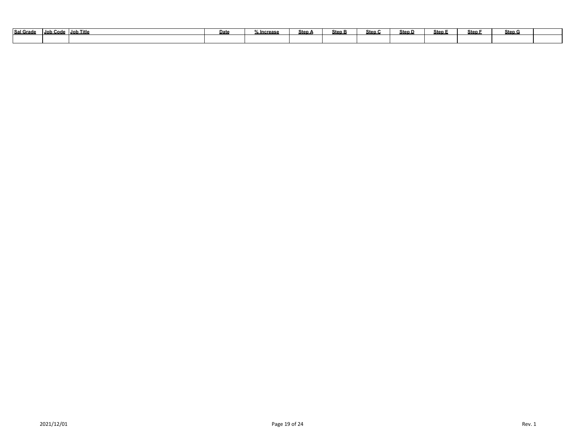| <b>Sal Grade</b> | Job Code | Job Title | <b>Date</b> | lncrease ، | Step A | <b>Step B</b> | Step C | Step D | Step E | <b>Step</b> | Step G |  |
|------------------|----------|-----------|-------------|------------|--------|---------------|--------|--------|--------|-------------|--------|--|
|                  |          |           |             |            |        |               |        |        |        |             |        |  |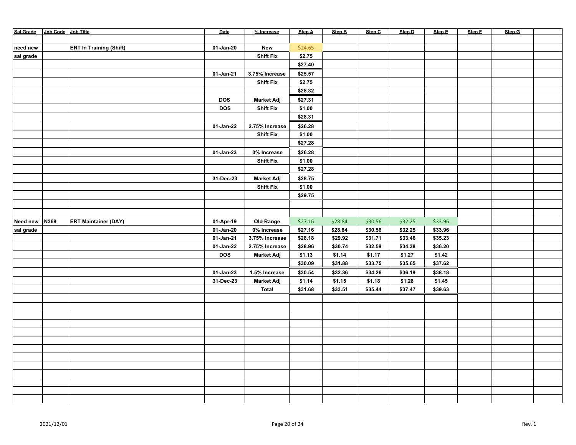| Sal Grade Job Code Job Title |      |                                | Date         | % Increase        | Step A  | <b>Step B</b>     | Step C            | Step D            | Step E  | Step F | Step G |  |
|------------------------------|------|--------------------------------|--------------|-------------------|---------|-------------------|-------------------|-------------------|---------|--------|--------|--|
|                              |      |                                |              |                   |         |                   |                   |                   |         |        |        |  |
| need new                     |      | <b>ERT In Training (Shift)</b> | 01-Jan-20    | New               | \$24.65 |                   |                   |                   |         |        |        |  |
| sal grade                    |      |                                |              | <b>Shift Fix</b>  | \$2.75  |                   |                   |                   |         |        |        |  |
|                              |      |                                |              |                   | \$27.40 |                   |                   |                   |         |        |        |  |
|                              |      |                                | 01-Jan-21    | 3.75% Increase    | \$25.57 |                   |                   |                   |         |        |        |  |
|                              |      |                                |              | <b>Shift Fix</b>  | \$2.75  |                   |                   |                   |         |        |        |  |
|                              |      |                                |              |                   | \$28.32 |                   |                   |                   |         |        |        |  |
|                              |      |                                | <b>DOS</b>   | <b>Market Adj</b> | \$27.31 |                   |                   |                   |         |        |        |  |
|                              |      |                                | <b>DOS</b>   | <b>Shift Fix</b>  | \$1.00  |                   |                   |                   |         |        |        |  |
|                              |      |                                |              |                   | \$28.31 |                   |                   |                   |         |        |        |  |
|                              |      |                                | 01-Jan-22    | 2.75% Increase    | \$26.28 |                   |                   |                   |         |        |        |  |
|                              |      |                                |              | <b>Shift Fix</b>  | \$1.00  |                   |                   |                   |         |        |        |  |
|                              |      |                                |              |                   | \$27.28 |                   |                   |                   |         |        |        |  |
|                              |      |                                | 01-Jan-23    | 0% Increase       | \$26.28 |                   |                   |                   |         |        |        |  |
|                              |      |                                |              | <b>Shift Fix</b>  | \$1.00  |                   |                   |                   |         |        |        |  |
|                              |      |                                |              |                   | \$27.28 |                   |                   |                   |         |        |        |  |
|                              |      |                                | 31-Dec-23    | <b>Market Adj</b> | \$28.75 |                   |                   |                   |         |        |        |  |
|                              |      |                                |              | <b>Shift Fix</b>  | \$1.00  |                   |                   |                   |         |        |        |  |
|                              |      |                                |              |                   | \$29.75 |                   |                   |                   |         |        |        |  |
|                              |      |                                |              |                   |         |                   |                   |                   |         |        |        |  |
|                              |      |                                |              |                   |         |                   |                   |                   |         |        |        |  |
| Need new                     | N369 | <b>ERT Maintainer (DAY)</b>    | 01-Apr-19    | Old Range         | \$27.16 | \$28.84           | \$30.56           | \$32.25           | \$33.96 |        |        |  |
| sal grade                    |      |                                | $01-Jan-20$  | 0% Increase       | \$27.16 | \$28.84           | \$30.56           | \$32.25           | \$33.96 |        |        |  |
|                              |      |                                | $01$ -Jan-21 | 3.75% Increase    | \$28.18 | \$29.92           | \$31.71           | \$33.46           | \$35.23 |        |        |  |
|                              |      |                                | 01-Jan-22    | 2.75% Increase    | \$28.96 | \$30.74           | \$32.58           | \$34.38           | \$36.20 |        |        |  |
|                              |      |                                | DOS          | <b>Market Adj</b> | \$1.13  | \$1.14            | \$1.17            | \$1.27            | \$1.42  |        |        |  |
|                              |      |                                |              |                   | \$30.09 | \$31.88           | \$33.75           | \$35.65           | \$37.62 |        |        |  |
|                              |      |                                |              | 1.5% Increase     |         |                   |                   |                   | \$38.18 |        |        |  |
|                              |      |                                | $01-Jan-23$  |                   | \$30.54 | \$32.36<br>\$1.15 | \$34.26<br>\$1.18 | \$36.19<br>\$1.28 | \$1.45  |        |        |  |
|                              |      |                                | 31-Dec-23    | <b>Market Adj</b> | \$1.14  |                   |                   |                   |         |        |        |  |
|                              |      |                                |              | <b>Total</b>      | \$31.68 | \$33.51           | \$35.44           | \$37.47           | \$39.63 |        |        |  |
|                              |      |                                |              |                   |         |                   |                   |                   |         |        |        |  |
|                              |      |                                |              |                   |         |                   |                   |                   |         |        |        |  |
|                              |      |                                |              |                   |         |                   |                   |                   |         |        |        |  |
|                              |      |                                |              |                   |         |                   |                   |                   |         |        |        |  |
|                              |      |                                |              |                   |         |                   |                   |                   |         |        |        |  |
|                              |      |                                |              |                   |         |                   |                   |                   |         |        |        |  |
|                              |      |                                |              |                   |         |                   |                   |                   |         |        |        |  |
|                              |      |                                |              |                   |         |                   |                   |                   |         |        |        |  |
|                              |      |                                |              |                   |         |                   |                   |                   |         |        |        |  |
|                              |      |                                |              |                   |         |                   |                   |                   |         |        |        |  |
|                              |      |                                |              |                   |         |                   |                   |                   |         |        |        |  |
|                              |      |                                |              |                   |         |                   |                   |                   |         |        |        |  |
|                              |      |                                |              |                   |         |                   |                   |                   |         |        |        |  |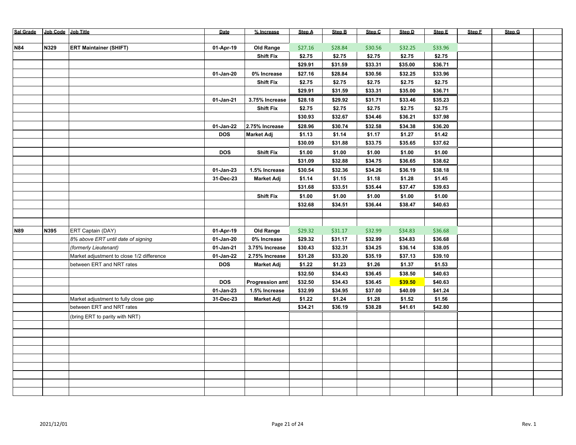| Sal Grade Job Code Job Title |      |                                           | Date        | % Increase             | <b>Step A</b> | Step B  | Step C  | Step D  | Step E  | Step F | Step G |  |
|------------------------------|------|-------------------------------------------|-------------|------------------------|---------------|---------|---------|---------|---------|--------|--------|--|
|                              |      |                                           |             |                        |               |         |         |         |         |        |        |  |
| <b>N84</b>                   | N329 | <b>ERT Maintainer (SHIFT)</b>             | 01-Apr-19   | Old Range              | \$27.16       | \$28.84 | \$30.56 | \$32.25 | \$33.96 |        |        |  |
|                              |      |                                           |             | <b>Shift Fix</b>       | \$2.75        | \$2.75  | \$2.75  | \$2.75  | \$2.75  |        |        |  |
|                              |      |                                           |             |                        | \$29.91       | \$31.59 | \$33.31 | \$35.00 | \$36.71 |        |        |  |
|                              |      |                                           | 01-Jan-20   | 0% Increase            | \$27.16       | \$28.84 | \$30.56 | \$32.25 | \$33.96 |        |        |  |
|                              |      |                                           |             | <b>Shift Fix</b>       | \$2.75        | \$2.75  | \$2.75  | \$2.75  | \$2.75  |        |        |  |
|                              |      |                                           |             |                        | \$29.91       | \$31.59 | \$33.31 | \$35.00 | \$36.71 |        |        |  |
|                              |      |                                           | 01-Jan-21   | 3.75% Increase         | \$28.18       | \$29.92 | \$31.71 | \$33.46 | \$35.23 |        |        |  |
|                              |      |                                           |             | <b>Shift Fix</b>       | \$2.75        | \$2.75  | \$2.75  | \$2.75  | \$2.75  |        |        |  |
|                              |      |                                           |             |                        | \$30.93       | \$32.67 | \$34.46 | \$36.21 | \$37.98 |        |        |  |
|                              |      |                                           | 01-Jan-22   | 2.75% Increase         | \$28.96       | \$30.74 | \$32.58 | \$34.38 | \$36.20 |        |        |  |
|                              |      |                                           | <b>DOS</b>  | <b>Market Adj</b>      | \$1.13        | \$1.14  | \$1.17  | \$1.27  | \$1.42  |        |        |  |
|                              |      |                                           |             |                        | \$30.09       | \$31.88 | \$33.75 | \$35.65 | \$37.62 |        |        |  |
|                              |      |                                           | <b>DOS</b>  | <b>Shift Fix</b>       | \$1.00        | \$1.00  | \$1.00  | \$1.00  | \$1.00  |        |        |  |
|                              |      |                                           |             |                        | \$31.09       | \$32.88 | \$34.75 | \$36.65 | \$38.62 |        |        |  |
|                              |      |                                           | 01-Jan-23   | 1.5% Increase          | \$30.54       | \$32.36 | \$34.26 | \$36.19 | \$38.18 |        |        |  |
|                              |      |                                           | 31-Dec-23   | <b>Market Adj</b>      | \$1.14        | \$1.15  | \$1.18  | \$1.28  | \$1.45  |        |        |  |
|                              |      |                                           |             |                        | \$31.68       | \$33.51 | \$35.44 | \$37.47 | \$39.63 |        |        |  |
|                              |      |                                           |             | <b>Shift Fix</b>       | \$1.00        | \$1.00  | \$1.00  | \$1.00  | \$1.00  |        |        |  |
|                              |      |                                           |             |                        | \$32.68       | \$34.51 | \$36.44 | \$38.47 | \$40.63 |        |        |  |
|                              |      |                                           |             |                        |               |         |         |         |         |        |        |  |
|                              |      |                                           |             |                        |               |         |         |         |         |        |        |  |
| <b>N89</b>                   | N395 | ERT Captain (DAY)                         | 01-Apr-19   | Old Range              | \$29.32       | \$31.17 | \$32.99 | \$34.83 | \$36.68 |        |        |  |
|                              |      | 8% above ERT until date of signing        | 01-Jan-20   | 0% Increase            | \$29.32       | \$31.17 | \$32.99 | \$34.83 | \$36.68 |        |        |  |
|                              |      | (formerly Lieutenant)                     | 01-Jan-21   | 3.75% Increase         | \$30.43       | \$32.31 | \$34.25 | \$36.14 | \$38.05 |        |        |  |
|                              |      | Market adjustment to close 1/2 difference | 01-Jan-22   | 2.75% Increase         | \$31.28       | \$33.20 | \$35.19 | \$37.13 | \$39.10 |        |        |  |
|                              |      | between ERT and NRT rates                 | <b>DOS</b>  | <b>Market Adj</b>      | \$1.22        | \$1.23  | \$1.26  | \$1.37  | \$1.53  |        |        |  |
|                              |      |                                           |             |                        | \$32.50       | \$34.43 | \$36.45 | \$38.50 | \$40.63 |        |        |  |
|                              |      |                                           | <b>DOS</b>  | <b>Progression amt</b> | \$32.50       | \$34.43 | \$36.45 | \$39.50 | \$40.63 |        |        |  |
|                              |      |                                           | $01-Jan-23$ | 1.5% Increase          | \$32.99       | \$34.95 | \$37.00 | \$40.09 | \$41.24 |        |        |  |
|                              |      | Market adjustment to fully close gap      | 31-Dec-23   | <b>Market Adj</b>      | \$1.22        | \$1.24  | \$1.28  | \$1.52  | \$1.56  |        |        |  |
|                              |      | between ERT and NRT rates                 |             |                        | \$34.21       | \$36.19 | \$38.28 | \$41.61 | \$42.80 |        |        |  |
|                              |      | (bring ERT to parity with NRT)            |             |                        |               |         |         |         |         |        |        |  |
|                              |      |                                           |             |                        |               |         |         |         |         |        |        |  |
|                              |      |                                           |             |                        |               |         |         |         |         |        |        |  |
|                              |      |                                           |             |                        |               |         |         |         |         |        |        |  |
|                              |      |                                           |             |                        |               |         |         |         |         |        |        |  |
|                              |      |                                           |             |                        |               |         |         |         |         |        |        |  |
|                              |      |                                           |             |                        |               |         |         |         |         |        |        |  |
|                              |      |                                           |             |                        |               |         |         |         |         |        |        |  |
|                              |      |                                           |             |                        |               |         |         |         |         |        |        |  |
|                              |      |                                           |             |                        |               |         |         |         |         |        |        |  |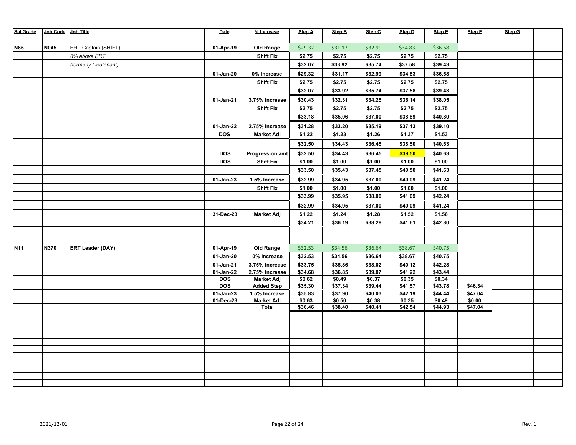| <b>Sal Grade</b> | Job Code Job Title |                         | Date         | % Increase                 | <b>Step A</b>     | <b>Step B</b>     | Step C            | Step D            | Step E            | Step F            | Step G |  |
|------------------|--------------------|-------------------------|--------------|----------------------------|-------------------|-------------------|-------------------|-------------------|-------------------|-------------------|--------|--|
|                  |                    |                         |              |                            |                   |                   |                   |                   |                   |                   |        |  |
| <b>N85</b>       | <b>N045</b>        | ERT Captain (SHIFT)     | 01-Apr-19    | Old Range                  | \$29.32           | \$31.17           | \$32.99           | \$34.83           | \$36.68           |                   |        |  |
|                  |                    | 8% above ERT            |              | <b>Shift Fix</b>           | \$2.75            | \$2.75            | \$2.75            | \$2.75            | \$2.75            |                   |        |  |
|                  |                    | (formerly Lieutenant)   |              |                            | \$32.07           | \$33.92           | \$35.74           | \$37.58           | \$39.43           |                   |        |  |
|                  |                    |                         | 01-Jan-20    | 0% Increase                | \$29.32           | \$31.17           | \$32.99           | \$34.83           | \$36.68           |                   |        |  |
|                  |                    |                         |              | <b>Shift Fix</b>           | \$2.75            | \$2.75            | \$2.75            | \$2.75            | \$2.75            |                   |        |  |
|                  |                    |                         |              |                            | \$32.07           | \$33.92           | \$35.74           | \$37.58           | \$39.43           |                   |        |  |
|                  |                    |                         | 01-Jan-21    | 3.75% Increase             | \$30.43           | \$32.31           | \$34.25           | \$36.14           | \$38.05           |                   |        |  |
|                  |                    |                         |              | <b>Shift Fix</b>           | \$2.75            | \$2.75            | \$2.75            | \$2.75            | \$2.75            |                   |        |  |
|                  |                    |                         |              |                            | \$33.18           | \$35.06           | \$37.00           | \$38.89           | \$40.80           |                   |        |  |
|                  |                    |                         |              | 2.75% Increase             |                   | \$33.20           | \$35.19           |                   | \$39.10           |                   |        |  |
|                  |                    |                         | 01-Jan-22    |                            | \$31.28           |                   |                   | \$37.13           | \$1.53            |                   |        |  |
|                  |                    |                         | <b>DOS</b>   | <b>Market Adj</b>          | \$1.22            | \$1.23            | \$1.26            | \$1.37            |                   |                   |        |  |
|                  |                    |                         |              |                            | \$32.50           | \$34.43           | \$36.45           | \$38.50           | \$40.63           |                   |        |  |
|                  |                    |                         | <b>DOS</b>   | <b>Progression amt</b>     | \$32.50           | \$34.43           | \$36.45           | \$39.50           | \$40.63           |                   |        |  |
|                  |                    |                         | <b>DOS</b>   | <b>Shift Fix</b>           | \$1.00            | \$1.00            | \$1.00            | \$1.00            | \$1.00            |                   |        |  |
|                  |                    |                         |              |                            | \$33.50           | \$35.43           | \$37.45           | \$40.50           | \$41.63           |                   |        |  |
|                  |                    |                         | 01-Jan-23    | 1.5% Increase              | \$32.99           | \$34.95           | \$37.00           | \$40.09           | \$41.24           |                   |        |  |
|                  |                    |                         |              | <b>Shift Fix</b>           | \$1.00            | \$1.00            | \$1.00            | \$1.00            | \$1.00            |                   |        |  |
|                  |                    |                         |              |                            | \$33.99           | \$35.95           | \$38.00           | \$41.09           | \$42.24           |                   |        |  |
|                  |                    |                         |              |                            | \$32.99           | \$34.95           | \$37.00           | \$40.09           | \$41.24           |                   |        |  |
|                  |                    |                         | 31-Dec-23    | <b>Market Adj</b>          | \$1.22            | \$1.24            | \$1.28            | \$1.52            | \$1.56            |                   |        |  |
|                  |                    |                         |              |                            | \$34.21           | \$36.19           | \$38.28           | \$41.61           | \$42.80           |                   |        |  |
|                  |                    |                         |              |                            |                   |                   |                   |                   |                   |                   |        |  |
|                  |                    |                         |              |                            |                   |                   |                   |                   |                   |                   |        |  |
| N <sub>11</sub>  | N370               | <b>ERT Leader (DAY)</b> | 01-Apr-19    | Old Range                  | \$32.53           | \$34.56           | \$36.64           | \$38.67           | \$40.75           |                   |        |  |
|                  |                    |                         | 01-Jan-20    | 0% Increase                | \$32.53           | \$34.56           | \$36.64           | \$38.67           | \$40.75           |                   |        |  |
|                  |                    |                         | 01-Jan-21    | 3.75% Increase             | \$33.75           | \$35.86           | \$38.02           | \$40.12           | \$42.28           |                   |        |  |
|                  |                    |                         | $01$ -Jan-22 | 2.75% Increase             | \$34.68           | \$36.85           | \$39.07           | \$41.22           | \$43.44           |                   |        |  |
|                  |                    |                         | DOS          | <b>Market Adj</b>          | \$0.62            | \$0.49            | \$0.37            | \$0.35            | \$0.34            |                   |        |  |
|                  |                    |                         | <b>DOS</b>   | <b>Added Step</b>          | \$35.30           | \$37.34           | \$39.44           | \$41.57           | \$43.78           | \$46.34           |        |  |
|                  |                    |                         | 01-Jan-23    | 1.5% Increase              | \$35.83           | \$37.90           | \$40.03           | \$42.19           | \$44.44           | \$47.04           |        |  |
|                  |                    |                         | 01-Dec-23    | <b>Market Adj</b><br>Total | \$0.63<br>\$36.46 | \$0.50<br>\$38.40 | \$0.38<br>\$40.41 | \$0.35<br>\$42.54 | \$0.49<br>\$44.93 | \$0.00<br>\$47.04 |        |  |
|                  |                    |                         |              |                            |                   |                   |                   |                   |                   |                   |        |  |
|                  |                    |                         |              |                            |                   |                   |                   |                   |                   |                   |        |  |
|                  |                    |                         |              |                            |                   |                   |                   |                   |                   |                   |        |  |
|                  |                    |                         |              |                            |                   |                   |                   |                   |                   |                   |        |  |
|                  |                    |                         |              |                            |                   |                   |                   |                   |                   |                   |        |  |
|                  |                    |                         |              |                            |                   |                   |                   |                   |                   |                   |        |  |
|                  |                    |                         |              |                            |                   |                   |                   |                   |                   |                   |        |  |
|                  |                    |                         |              |                            |                   |                   |                   |                   |                   |                   |        |  |
|                  |                    |                         |              |                            |                   |                   |                   |                   |                   |                   |        |  |
|                  |                    |                         |              |                            |                   |                   |                   |                   |                   |                   |        |  |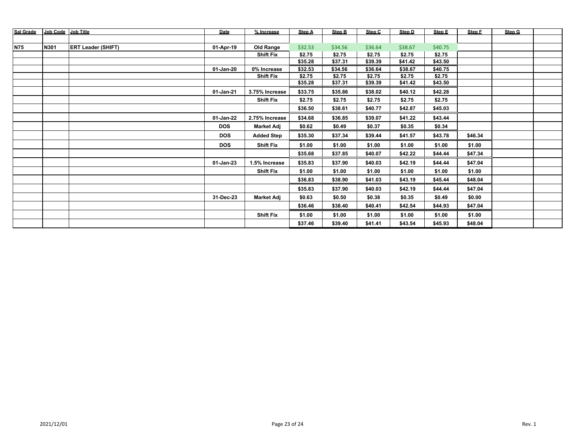| <b>Sal Grade</b> | Job Code | <b>Job Title</b>          | Date       | % Increase        | Step A  | <b>Step B</b> | Step C  | Step D  | Step E  | Step F  | Step G |  |
|------------------|----------|---------------------------|------------|-------------------|---------|---------------|---------|---------|---------|---------|--------|--|
|                  |          |                           |            |                   |         |               |         |         |         |         |        |  |
| <b>N75</b>       | N301     | <b>ERT Leader (SHIFT)</b> | 01-Apr-19  | <b>Old Range</b>  | \$32.53 | \$34.56       | \$36.64 | \$38.67 | \$40.75 |         |        |  |
|                  |          |                           |            | <b>Shift Fix</b>  | \$2.75  | \$2.75        | \$2.75  | \$2.75  | \$2.75  |         |        |  |
|                  |          |                           |            |                   | \$35.28 | \$37.31       | \$39.39 | \$41.42 | \$43.50 |         |        |  |
|                  |          |                           | 01-Jan-20  | 0% Increase       | \$32.53 | \$34.56       | \$36.64 | \$38.67 | \$40.75 |         |        |  |
|                  |          |                           |            | <b>Shift Fix</b>  | \$2.75  | \$2.75        | \$2.75  | \$2.75  | \$2.75  |         |        |  |
|                  |          |                           |            |                   | \$35.28 | \$37.31       | \$39.39 | \$41.42 | \$43.50 |         |        |  |
|                  |          |                           | 01-Jan-21  | 3.75% Increase    | \$33.75 | \$35.86       | \$38.02 | \$40.12 | \$42.28 |         |        |  |
|                  |          |                           |            | <b>Shift Fix</b>  | \$2.75  | \$2.75        | \$2.75  | \$2.75  | \$2.75  |         |        |  |
|                  |          |                           |            |                   | \$36.50 | \$38.61       | \$40.77 | \$42.87 | \$45.03 |         |        |  |
|                  |          |                           | 01-Jan-22  | 2.75% Increase    | \$34.68 | \$36.85       | \$39.07 | \$41.22 | \$43.44 |         |        |  |
|                  |          |                           | <b>DOS</b> | <b>Market Adj</b> | \$0.62  | \$0.49        | \$0.37  | \$0.35  | \$0.34  |         |        |  |
|                  |          |                           | <b>DOS</b> | <b>Added Step</b> | \$35.30 | \$37.34       | \$39.44 | \$41.57 | \$43.78 | \$46.34 |        |  |
|                  |          |                           | <b>DOS</b> | <b>Shift Fix</b>  | \$1.00  | \$1.00        | \$1.00  | \$1.00  | \$1.00  | \$1.00  |        |  |
|                  |          |                           |            |                   | \$35.68 | \$37.85       | \$40.07 | \$42.22 | \$44.44 | \$47.34 |        |  |
|                  |          |                           | 01-Jan-23  | 1.5% Increase     | \$35.83 | \$37.90       | \$40.03 | \$42.19 | \$44.44 | \$47.04 |        |  |
|                  |          |                           |            | <b>Shift Fix</b>  | \$1.00  | \$1.00        | \$1.00  | \$1.00  | \$1.00  | \$1.00  |        |  |
|                  |          |                           |            |                   | \$36.83 | \$38.90       | \$41.03 | \$43.19 | \$45.44 | \$48.04 |        |  |
|                  |          |                           |            |                   | \$35.83 | \$37.90       | \$40.03 | \$42.19 | \$44.44 | \$47.04 |        |  |
|                  |          |                           | 31-Dec-23  | <b>Market Adj</b> | \$0.63  | \$0.50        | \$0.38  | \$0.35  | \$0.49  | \$0.00  |        |  |
|                  |          |                           |            |                   | \$36.46 | \$38.40       | \$40.41 | \$42.54 | \$44.93 | \$47.04 |        |  |
|                  |          |                           |            | <b>Shift Fix</b>  | \$1.00  | \$1.00        | \$1.00  | \$1.00  | \$1.00  | \$1.00  |        |  |
|                  |          |                           |            |                   | \$37.46 | \$39.40       | \$41.41 | \$43.54 | \$45.93 | \$48.04 |        |  |